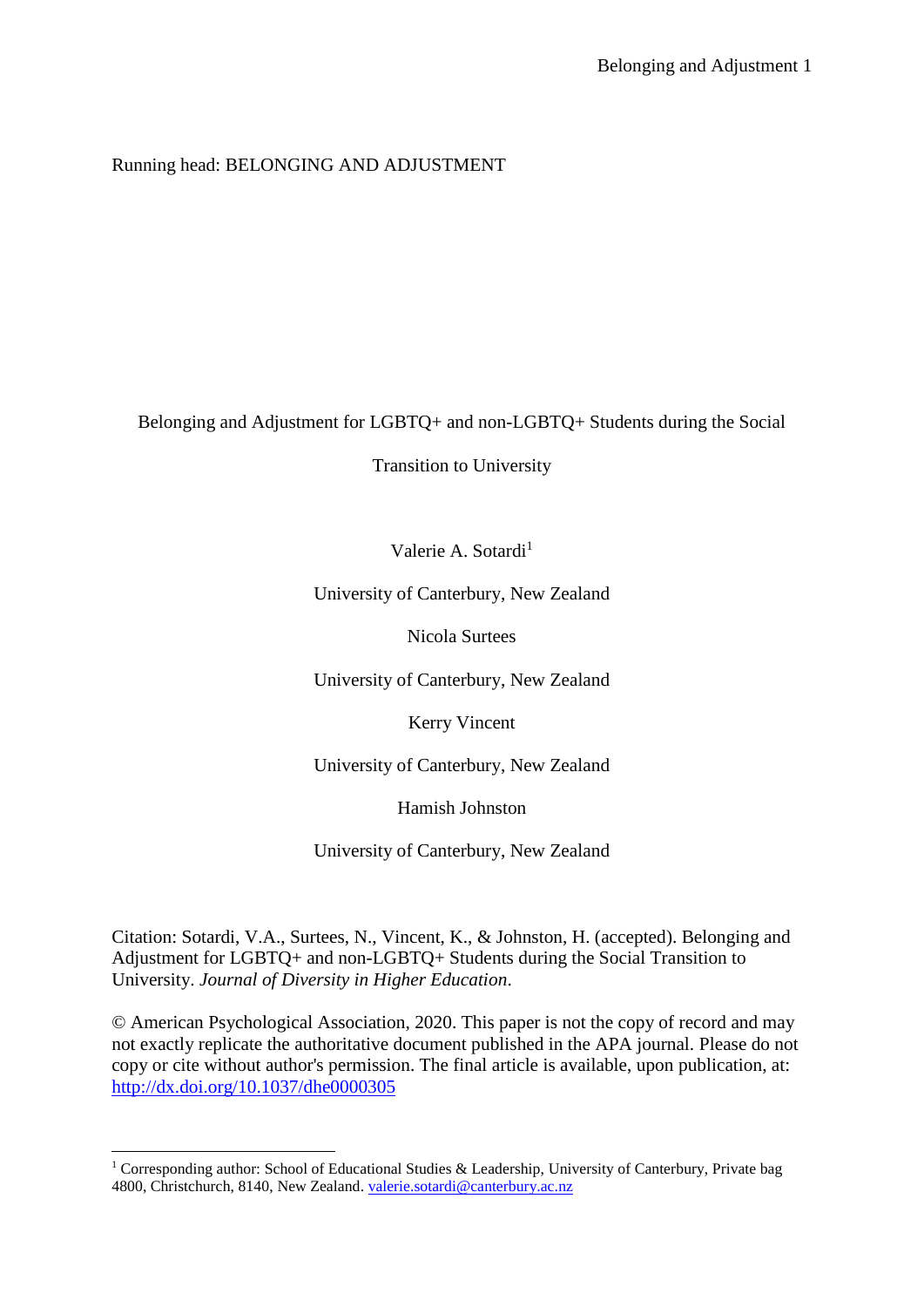## Running head: BELONGING AND ADJUSTMENT

Belonging and Adjustment for LGBTQ+ and non-LGBTQ+ Students during the Social

Transition to University

Valerie A. Sotardi $<sup>1</sup>$ </sup>

University of Canterbury, New Zealand

Nicola Surtees

University of Canterbury, New Zealand

Kerry Vincent

University of Canterbury, New Zealand

Hamish Johnston

University of Canterbury, New Zealand

Citation: Sotardi, V.A., Surtees, N., Vincent, K., & Johnston, H. (accepted). Belonging and Adjustment for LGBTQ+ and non-LGBTQ+ Students during the Social Transition to University. *Journal of Diversity in Higher Education*.

© American Psychological Association, 2020. This paper is not the copy of record and may not exactly replicate the authoritative document published in the APA journal. Please do not copy or cite without author's permission. The final article is available, upon publication, at: <http://dx.doi.org/10.1037/dhe0000305>

1

<sup>&</sup>lt;sup>1</sup> Corresponding author: School of Educational Studies & Leadership, University of Canterbury, Private bag 4800, Christchurch, 8140, New Zealand. [valerie.sotardi@canterbury.ac.nz](mailto:valerie.sotardi@canterbury.ac.nz)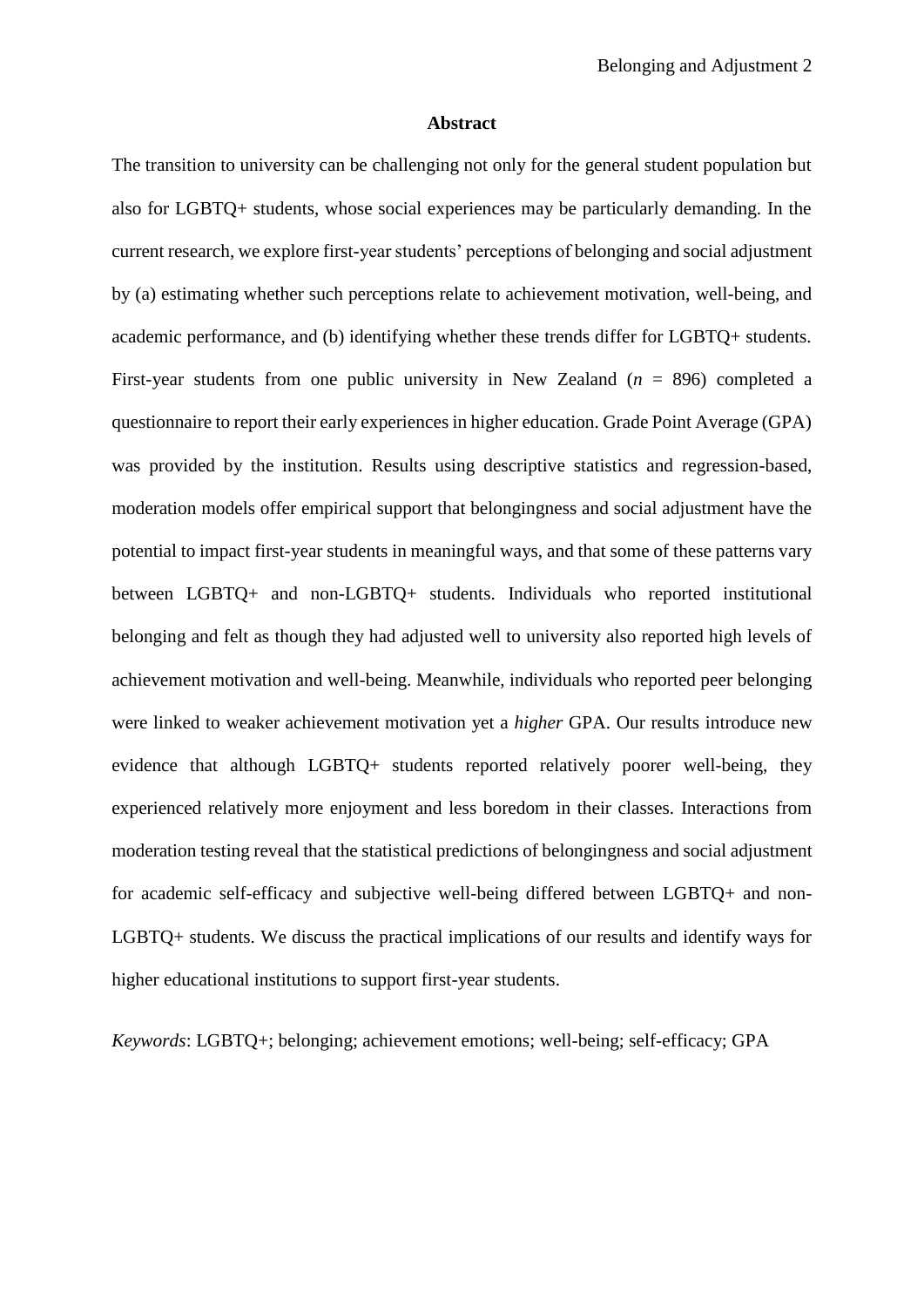#### **Abstract**

The transition to university can be challenging not only for the general student population but also for LGBTQ+ students, whose social experiences may be particularly demanding. In the current research, we explore first-year students' perceptions of belonging and social adjustment by (a) estimating whether such perceptions relate to achievement motivation, well-being, and academic performance, and (b) identifying whether these trends differ for LGBTQ+ students. First-year students from one public university in New Zealand (*n* = 896) completed a questionnaire to report their early experiences in higher education. Grade Point Average (GPA) was provided by the institution. Results using descriptive statistics and regression-based, moderation models offer empirical support that belongingness and social adjustment have the potential to impact first-year students in meaningful ways, and that some of these patterns vary between LGBTQ+ and non-LGBTQ+ students. Individuals who reported institutional belonging and felt as though they had adjusted well to university also reported high levels of achievement motivation and well-being. Meanwhile, individuals who reported peer belonging were linked to weaker achievement motivation yet a *higher* GPA. Our results introduce new evidence that although LGBTQ+ students reported relatively poorer well-being, they experienced relatively more enjoyment and less boredom in their classes. Interactions from moderation testing reveal that the statistical predictions of belongingness and social adjustment for academic self-efficacy and subjective well-being differed between LGBTQ+ and non-LGBTQ+ students. We discuss the practical implications of our results and identify ways for higher educational institutions to support first-year students.

*Keywords*: LGBTQ+; belonging; achievement emotions; well-being; self-efficacy; GPA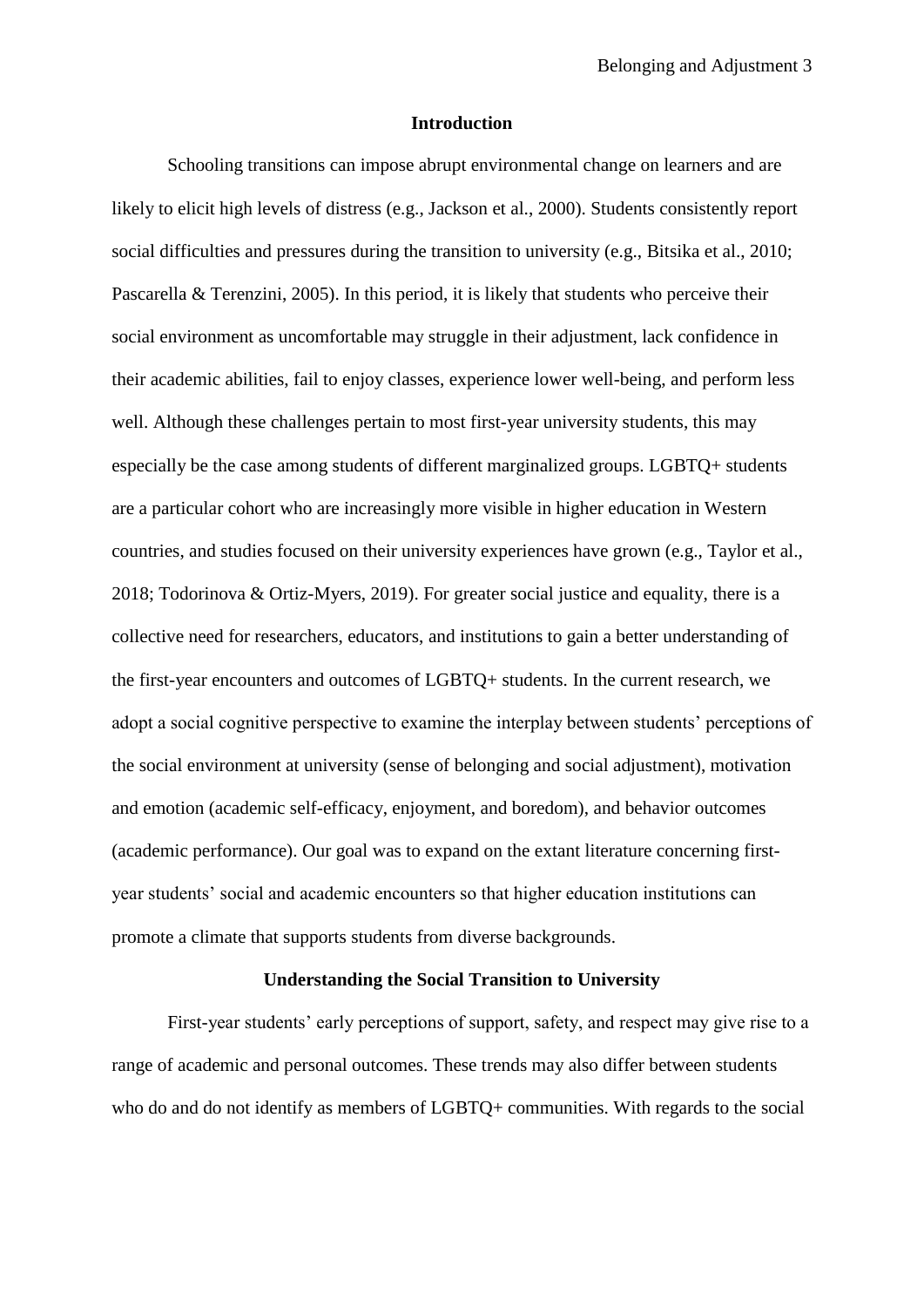#### **Introduction**

Schooling transitions can impose abrupt environmental change on learners and are likely to elicit high levels of distress (e.g., Jackson et al., 2000). Students consistently report social difficulties and pressures during the transition to university (e.g., Bitsika et al., 2010; Pascarella & Terenzini, 2005). In this period, it is likely that students who perceive their social environment as uncomfortable may struggle in their adjustment, lack confidence in their academic abilities, fail to enjoy classes, experience lower well-being, and perform less well. Although these challenges pertain to most first-year university students, this may especially be the case among students of different marginalized groups. LGBTQ+ students are a particular cohort who are increasingly more visible in higher education in Western countries, and studies focused on their university experiences have grown (e.g., Taylor et al., 2018; Todorinova & Ortiz-Myers, 2019). For greater social justice and equality, there is a collective need for researchers, educators, and institutions to gain a better understanding of the first-year encounters and outcomes of LGBTQ+ students. In the current research, we adopt a social cognitive perspective to examine the interplay between students' perceptions of the social environment at university (sense of belonging and social adjustment), motivation and emotion (academic self-efficacy, enjoyment, and boredom), and behavior outcomes (academic performance). Our goal was to expand on the extant literature concerning firstyear students' social and academic encounters so that higher education institutions can promote a climate that supports students from diverse backgrounds.

#### **Understanding the Social Transition to University**

First-year students' early perceptions of support, safety, and respect may give rise to a range of academic and personal outcomes. These trends may also differ between students who do and do not identify as members of LGBTQ+ communities. With regards to the social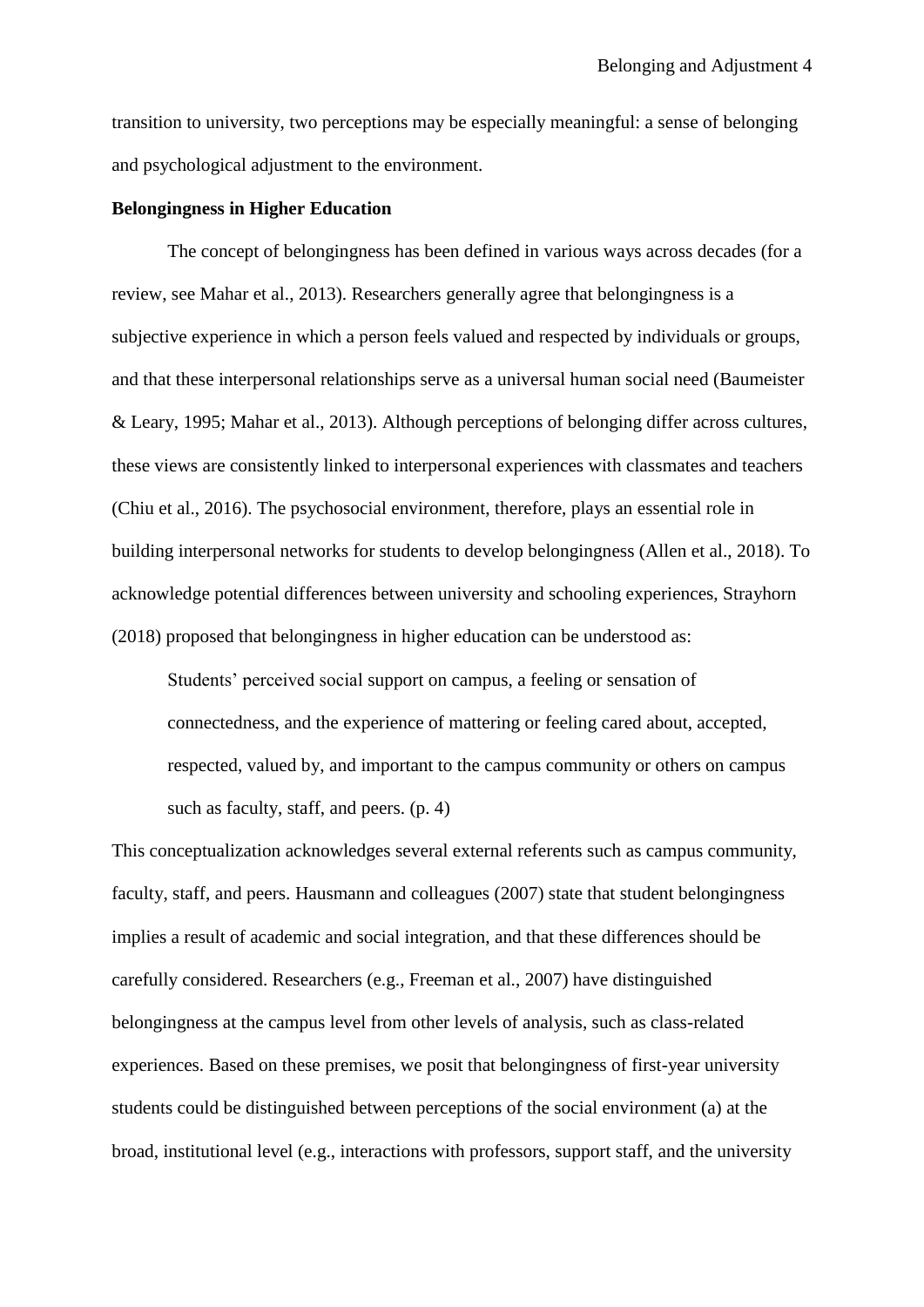transition to university, two perceptions may be especially meaningful: a sense of belonging and psychological adjustment to the environment.

#### **Belongingness in Higher Education**

The concept of belongingness has been defined in various ways across decades (for a review, see Mahar et al., 2013). Researchers generally agree that belongingness is a subjective experience in which a person feels valued and respected by individuals or groups, and that these interpersonal relationships serve as a universal human social need (Baumeister & Leary, 1995; Mahar et al., 2013). Although perceptions of belonging differ across cultures, these views are consistently linked to interpersonal experiences with classmates and teachers (Chiu et al., 2016). The psychosocial environment, therefore, plays an essential role in building interpersonal networks for students to develop belongingness (Allen et al., 2018). To acknowledge potential differences between university and schooling experiences, Strayhorn (2018) proposed that belongingness in higher education can be understood as:

Students' perceived social support on campus, a feeling or sensation of connectedness, and the experience of mattering or feeling cared about, accepted, respected, valued by, and important to the campus community or others on campus such as faculty, staff, and peers. (p. 4)

This conceptualization acknowledges several external referents such as campus community, faculty, staff, and peers. Hausmann and colleagues (2007) state that student belongingness implies a result of academic and social integration, and that these differences should be carefully considered. Researchers (e.g., Freeman et al., 2007) have distinguished belongingness at the campus level from other levels of analysis, such as class-related experiences. Based on these premises, we posit that belongingness of first-year university students could be distinguished between perceptions of the social environment (a) at the broad, institutional level (e.g., interactions with professors, support staff, and the university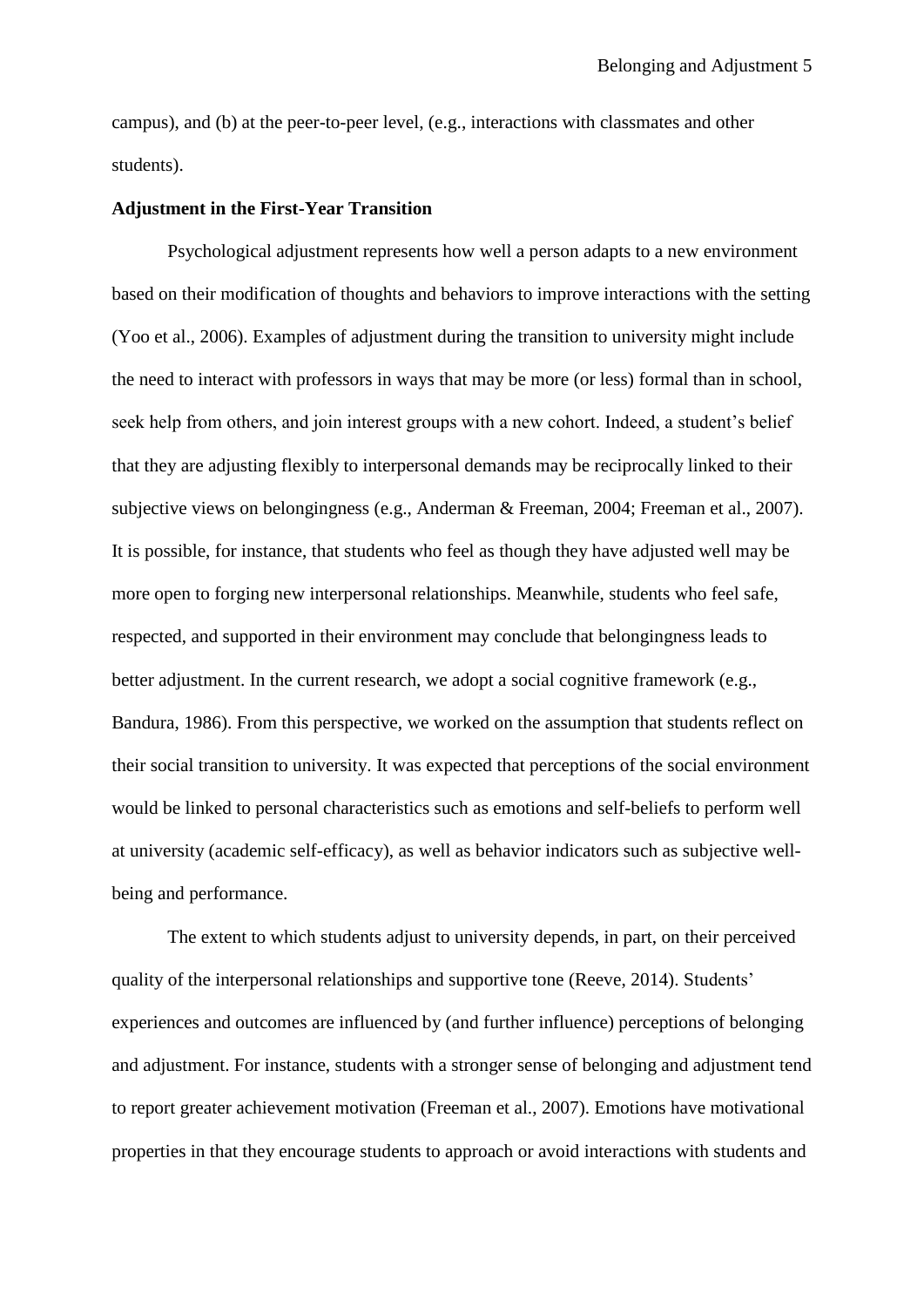campus), and (b) at the peer-to-peer level, (e.g., interactions with classmates and other students).

#### **Adjustment in the First-Year Transition**

Psychological adjustment represents how well a person adapts to a new environment based on their modification of thoughts and behaviors to improve interactions with the setting (Yoo et al., 2006). Examples of adjustment during the transition to university might include the need to interact with professors in ways that may be more (or less) formal than in school, seek help from others, and join interest groups with a new cohort. Indeed, a student's belief that they are adjusting flexibly to interpersonal demands may be reciprocally linked to their subjective views on belongingness (e.g., Anderman & Freeman, 2004; Freeman et al., 2007). It is possible, for instance, that students who feel as though they have adjusted well may be more open to forging new interpersonal relationships. Meanwhile, students who feel safe, respected, and supported in their environment may conclude that belongingness leads to better adjustment. In the current research, we adopt a social cognitive framework (e.g., Bandura, 1986). From this perspective, we worked on the assumption that students reflect on their social transition to university. It was expected that perceptions of the social environment would be linked to personal characteristics such as emotions and self-beliefs to perform well at university (academic self-efficacy), as well as behavior indicators such as subjective wellbeing and performance.

The extent to which students adjust to university depends, in part, on their perceived quality of the interpersonal relationships and supportive tone (Reeve, 2014). Students' experiences and outcomes are influenced by (and further influence) perceptions of belonging and adjustment. For instance, students with a stronger sense of belonging and adjustment tend to report greater achievement motivation (Freeman et al., 2007). Emotions have motivational properties in that they encourage students to approach or avoid interactions with students and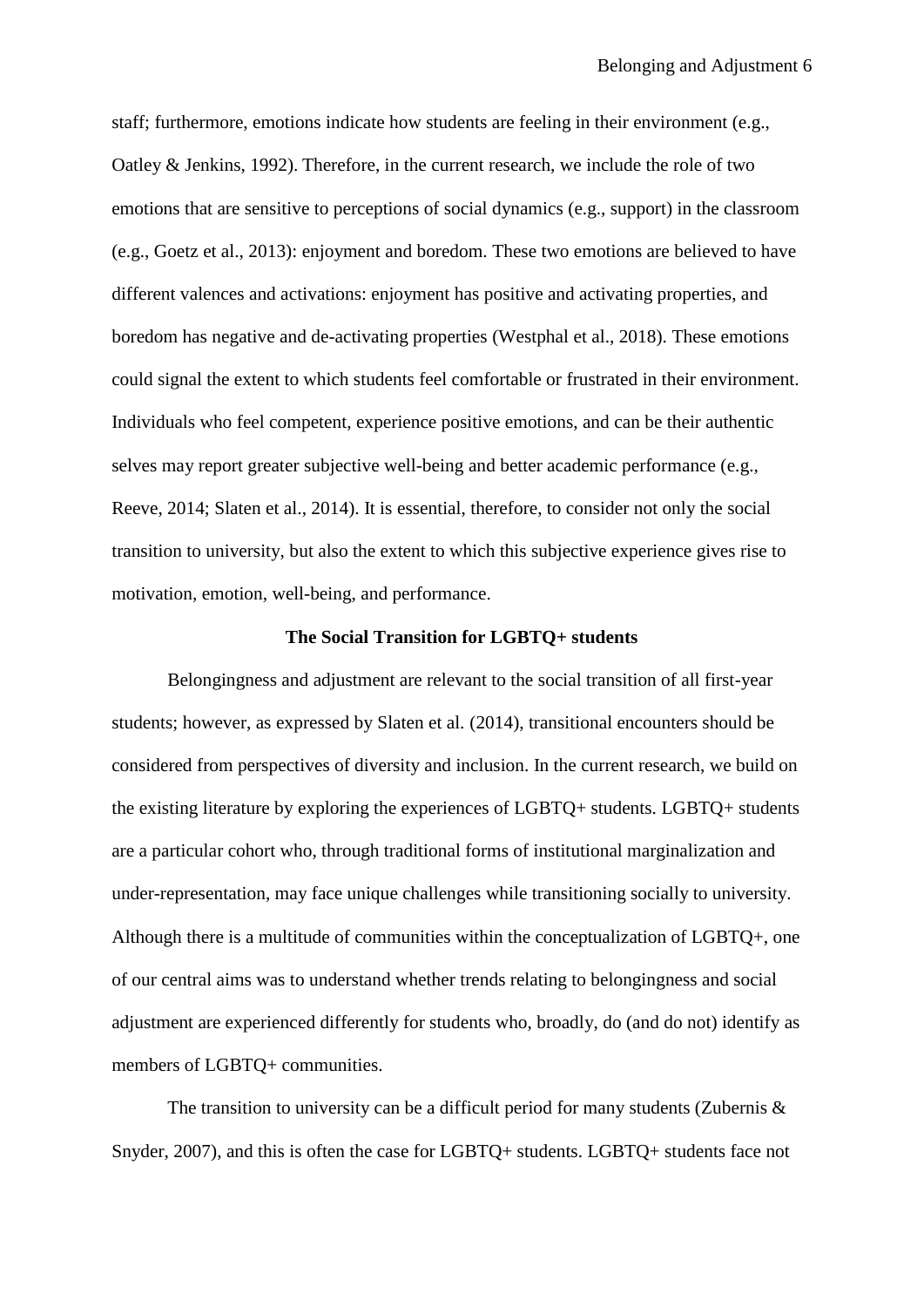staff; furthermore, emotions indicate how students are feeling in their environment (e.g., Oatley & Jenkins, 1992). Therefore, in the current research, we include the role of two emotions that are sensitive to perceptions of social dynamics (e.g., support) in the classroom (e.g., Goetz et al., 2013): enjoyment and boredom. These two emotions are believed to have different valences and activations: enjoyment has positive and activating properties, and boredom has negative and de-activating properties (Westphal et al., 2018). These emotions could signal the extent to which students feel comfortable or frustrated in their environment. Individuals who feel competent, experience positive emotions, and can be their authentic selves may report greater subjective well-being and better academic performance (e.g., Reeve, 2014; Slaten et al., 2014). It is essential, therefore, to consider not only the social transition to university, but also the extent to which this subjective experience gives rise to motivation, emotion, well-being, and performance.

#### **The Social Transition for LGBTQ+ students**

Belongingness and adjustment are relevant to the social transition of all first-year students; however, as expressed by Slaten et al. (2014), transitional encounters should be considered from perspectives of diversity and inclusion. In the current research, we build on the existing literature by exploring the experiences of LGBTQ+ students. LGBTQ+ students are a particular cohort who, through traditional forms of institutional marginalization and under-representation, may face unique challenges while transitioning socially to university. Although there is a multitude of communities within the conceptualization of LGBTQ+, one of our central aims was to understand whether trends relating to belongingness and social adjustment are experienced differently for students who, broadly, do (and do not) identify as members of LGBTQ+ communities.

The transition to university can be a difficult period for many students (Zubernis  $\&$ Snyder, 2007), and this is often the case for LGBTQ+ students. LGBTQ+ students face not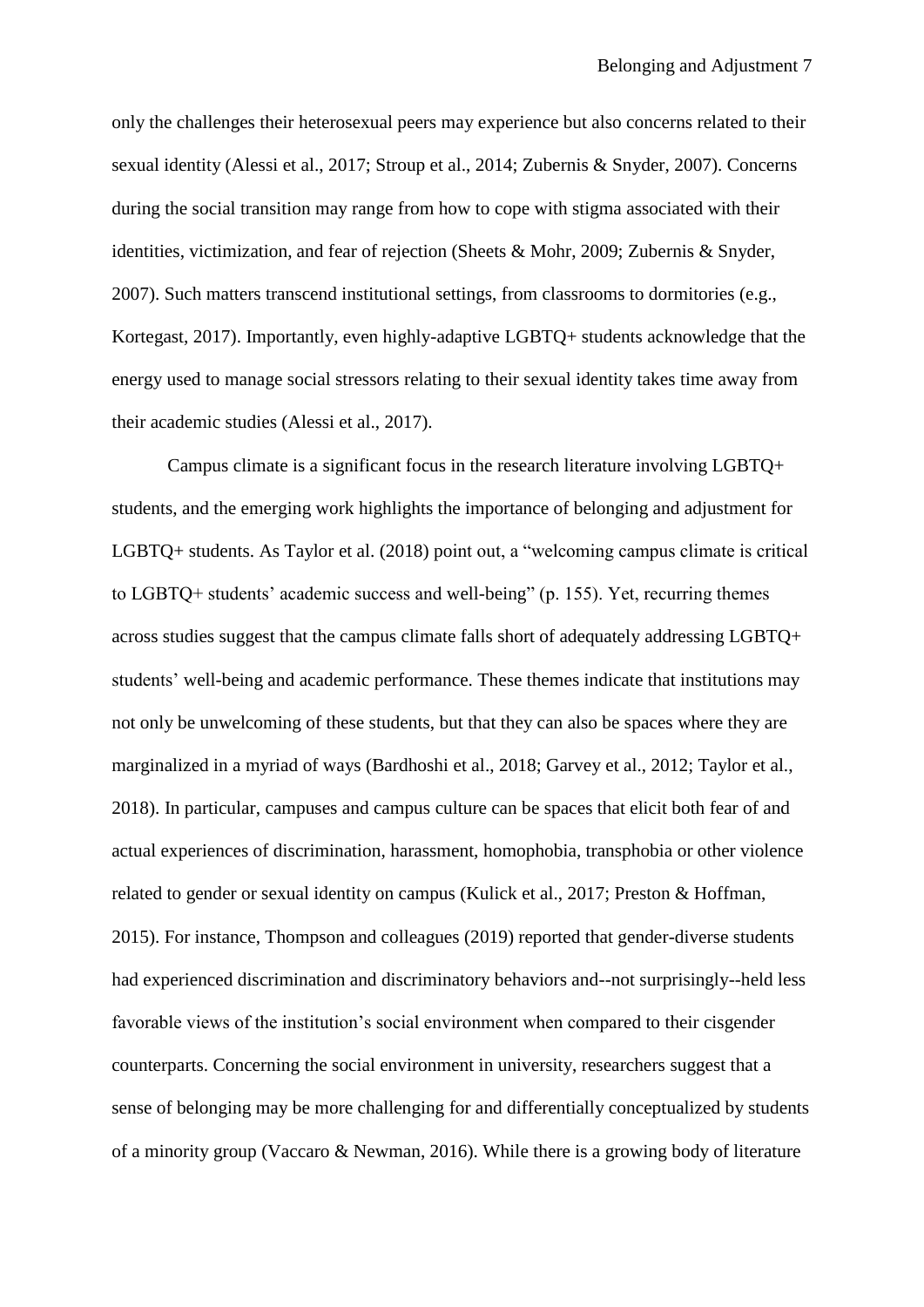only the challenges their heterosexual peers may experience but also concerns related to their sexual identity (Alessi et al., 2017; Stroup et al., 2014; Zubernis & Snyder, 2007). Concerns during the social transition may range from how to cope with stigma associated with their identities, victimization, and fear of rejection (Sheets & Mohr, 2009; Zubernis & Snyder, 2007). Such matters transcend institutional settings, from classrooms to dormitories (e.g., Kortegast, 2017). Importantly, even highly-adaptive LGBTQ+ students acknowledge that the energy used to manage social stressors relating to their sexual identity takes time away from their academic studies (Alessi et al., 2017).

Campus climate is a significant focus in the research literature involving LGBTQ+ students, and the emerging work highlights the importance of belonging and adjustment for LGBTQ+ students. As Taylor et al. (2018) point out, a "welcoming campus climate is critical to LGBTQ+ students' academic success and well-being" (p. 155). Yet, recurring themes across studies suggest that the campus climate falls short of adequately addressing LGBTQ+ students' well-being and academic performance. These themes indicate that institutions may not only be unwelcoming of these students, but that they can also be spaces where they are marginalized in a myriad of ways (Bardhoshi et al., 2018; Garvey et al., 2012; Taylor et al., 2018). In particular, campuses and campus culture can be spaces that elicit both fear of and actual experiences of discrimination, harassment, homophobia, transphobia or other violence related to gender or sexual identity on campus (Kulick et al., 2017; Preston & Hoffman, 2015). For instance, Thompson and colleagues (2019) reported that gender-diverse students had experienced discrimination and discriminatory behaviors and--not surprisingly--held less favorable views of the institution's social environment when compared to their cisgender counterparts. Concerning the social environment in university, researchers suggest that a sense of belonging may be more challenging for and differentially conceptualized by students of a minority group (Vaccaro & Newman, 2016). While there is a growing body of literature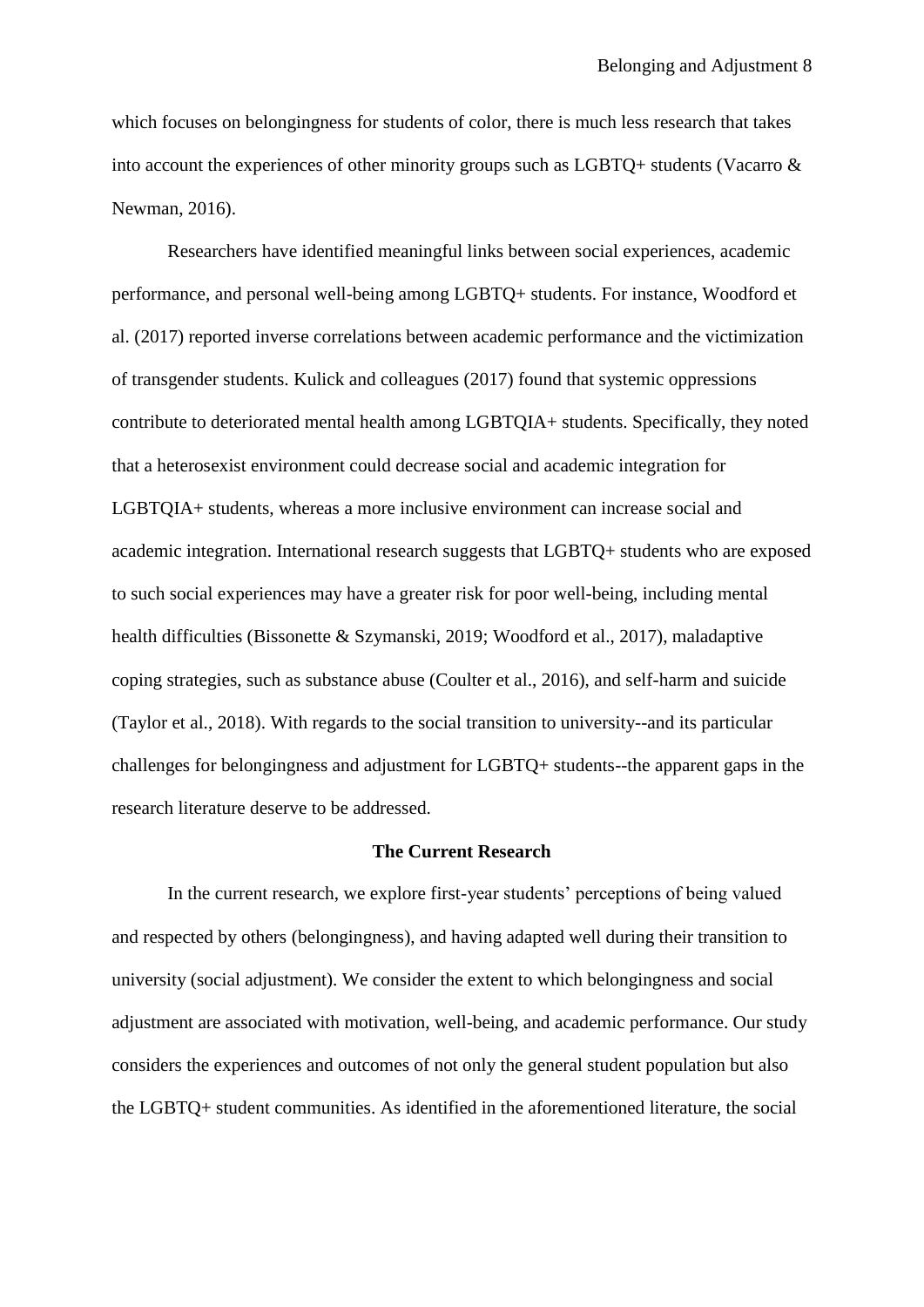which focuses on belongingness for students of color, there is much less research that takes into account the experiences of other minority groups such as LGBTQ+ students (Vacarro & Newman, 2016).

Researchers have identified meaningful links between social experiences, academic performance, and personal well-being among LGBTQ+ students. For instance, Woodford et al. (2017) reported inverse correlations between academic performance and the victimization of transgender students. Kulick and colleagues (2017) found that systemic oppressions contribute to deteriorated mental health among LGBTQIA+ students. Specifically, they noted that a heterosexist environment could decrease social and academic integration for LGBTQIA+ students, whereas a more inclusive environment can increase social and academic integration. International research suggests that LGBTQ+ students who are exposed to such social experiences may have a greater risk for poor well-being, including mental health difficulties (Bissonette & Szymanski, 2019; Woodford et al., 2017), maladaptive coping strategies, such as substance abuse (Coulter et al., 2016), and self-harm and suicide (Taylor et al., 2018). With regards to the social transition to university--and its particular challenges for belongingness and adjustment for LGBTQ+ students--the apparent gaps in the research literature deserve to be addressed.

#### **The Current Research**

In the current research, we explore first-year students' perceptions of being valued and respected by others (belongingness), and having adapted well during their transition to university (social adjustment). We consider the extent to which belongingness and social adjustment are associated with motivation, well-being, and academic performance. Our study considers the experiences and outcomes of not only the general student population but also the LGBTQ+ student communities. As identified in the aforementioned literature, the social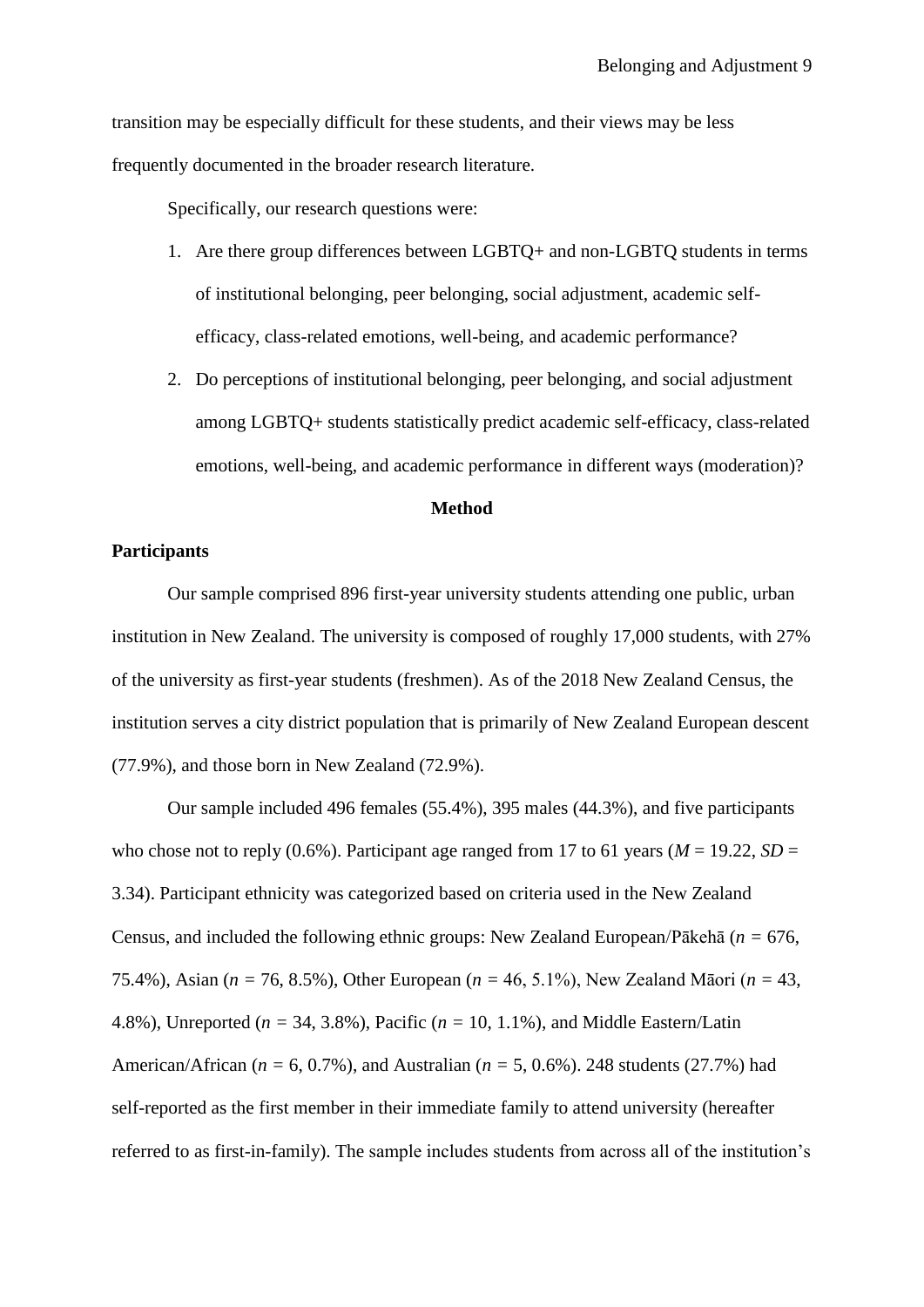transition may be especially difficult for these students, and their views may be less frequently documented in the broader research literature.

Specifically, our research questions were:

- 1. Are there group differences between LGBTQ+ and non-LGBTQ students in terms of institutional belonging, peer belonging, social adjustment, academic selfefficacy, class-related emotions, well-being, and academic performance?
- 2. Do perceptions of institutional belonging, peer belonging, and social adjustment among LGBTQ+ students statistically predict academic self-efficacy, class-related emotions, well-being, and academic performance in different ways (moderation)?

#### **Method**

## **Participants**

Our sample comprised 896 first-year university students attending one public, urban institution in New Zealand. The university is composed of roughly 17,000 students, with 27% of the university as first-year students (freshmen). As of the 2018 New Zealand Census, the institution serves a city district population that is primarily of New Zealand European descent (77.9%), and those born in New Zealand (72.9%).

Our sample included 496 females (55.4%), 395 males (44.3%), and five participants who chose not to reply (0.6%). Participant age ranged from 17 to 61 years ( $M = 19.22$ ,  $SD =$ 3.34). Participant ethnicity was categorized based on criteria used in the New Zealand Census, and included the following ethnic groups: New Zealand European/Pākehā (*n =* 676, 75.4%), Asian (*n =* 76, 8.5%), Other European (*n =* 46, 5.1%), New Zealand Māori (*n =* 43, 4.8%), Unreported (*n =* 34, 3.8%), Pacific (*n =* 10, 1.1%), and Middle Eastern/Latin American/African (*n =* 6, 0.7%), and Australian (*n =* 5, 0.6%). 248 students (27.7%) had self-reported as the first member in their immediate family to attend university (hereafter referred to as first-in-family). The sample includes students from across all of the institution's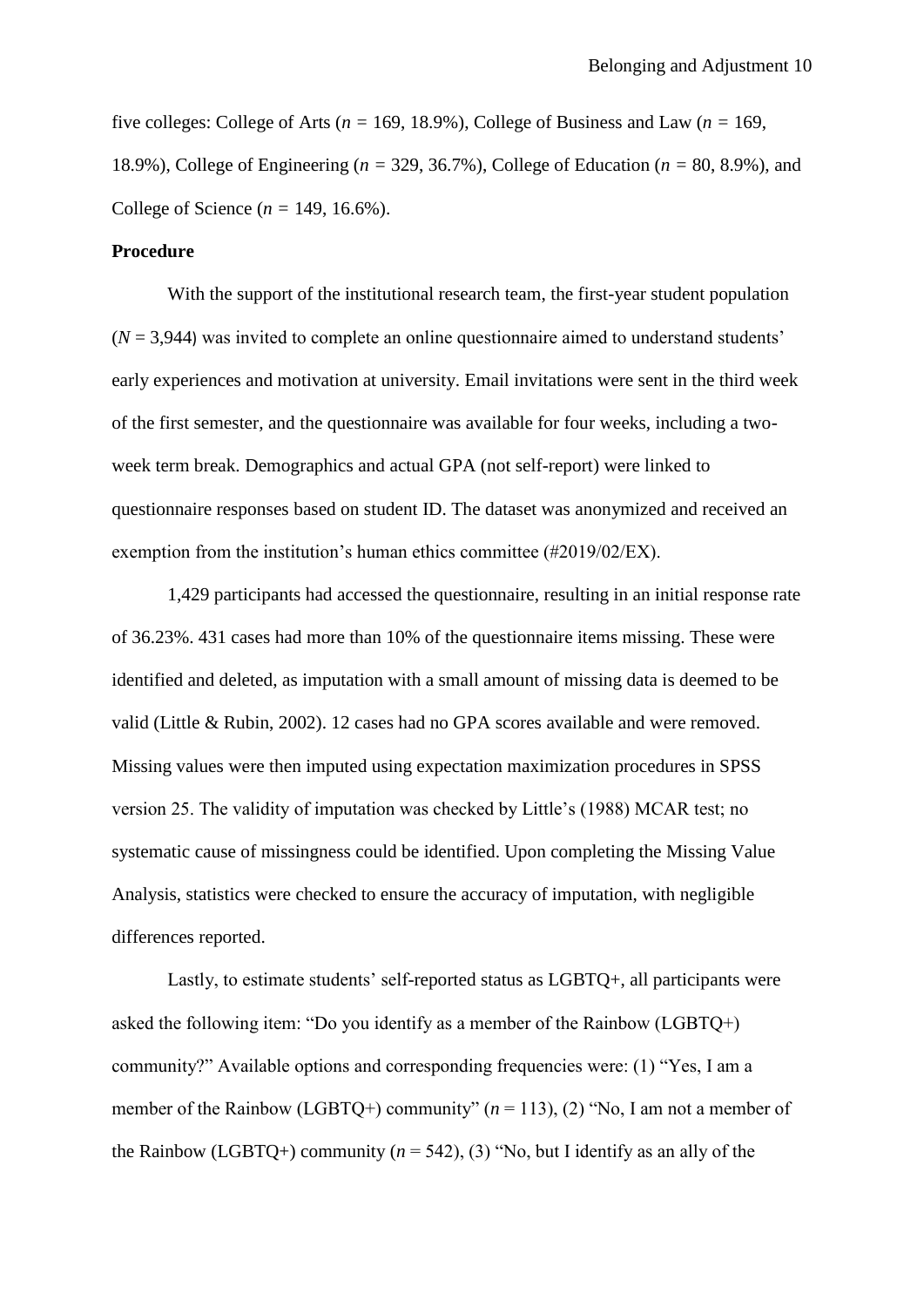five colleges: College of Arts ( $n = 169, 18.9\%$ ), College of Business and Law ( $n = 169$ , 18.9%), College of Engineering (*n =* 329, 36.7%), College of Education (*n =* 80, 8.9%), and College of Science (*n =* 149, 16.6%).

### **Procedure**

With the support of the institutional research team, the first-year student population  $(N = 3,944)$  was invited to complete an online questionnaire aimed to understand students' early experiences and motivation at university. Email invitations were sent in the third week of the first semester, and the questionnaire was available for four weeks, including a twoweek term break. Demographics and actual GPA (not self-report) were linked to questionnaire responses based on student ID. The dataset was anonymized and received an exemption from the institution's human ethics committee (#2019/02/EX).

1,429 participants had accessed the questionnaire, resulting in an initial response rate of 36.23%. 431 cases had more than 10% of the questionnaire items missing. These were identified and deleted, as imputation with a small amount of missing data is deemed to be valid (Little & Rubin, 2002). 12 cases had no GPA scores available and were removed. Missing values were then imputed using expectation maximization procedures in SPSS version 25. The validity of imputation was checked by Little's (1988) MCAR test; no systematic cause of missingness could be identified. Upon completing the Missing Value Analysis, statistics were checked to ensure the accuracy of imputation, with negligible differences reported.

Lastly, to estimate students' self-reported status as LGBTQ+, all participants were asked the following item: "Do you identify as a member of the Rainbow (LGBTQ+) community?" Available options and corresponding frequencies were: (1) "Yes, I am a member of the Rainbow (LGBTQ+) community" (*n* = 113), (2) "No, I am not a member of the Rainbow (LGBTQ+) community  $(n = 542)$ , (3) "No, but I identify as an ally of the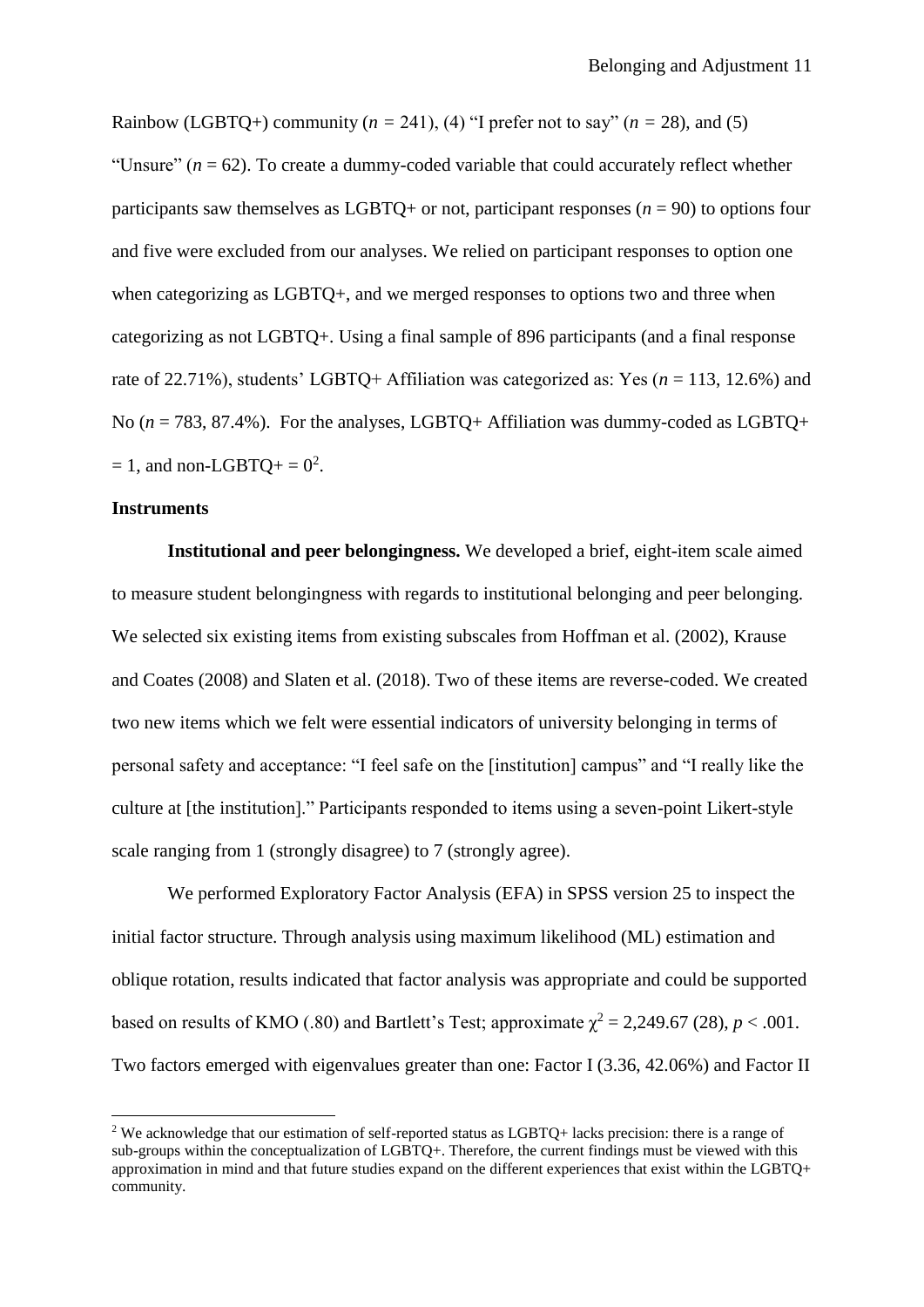Rainbow (LGBTQ+) community ( $n = 241$ ), (4) "I prefer not to say" ( $n = 28$ ), and (5) "Unsure"  $(n = 62)$ . To create a dummy-coded variable that could accurately reflect whether participants saw themselves as LGBTQ+ or not, participant responses  $(n = 90)$  to options four and five were excluded from our analyses. We relied on participant responses to option one when categorizing as LGBTQ+, and we merged responses to options two and three when categorizing as not LGBTQ+. Using a final sample of 896 participants (and a final response rate of 22.71%), students' LGBTQ+ Affiliation was categorized as: Yes ( $n = 113$ , 12.6%) and No (*n* = 783, 87.4%). For the analyses, LGBTQ+ Affiliation was dummy-coded as LGBTQ+  $= 1$ , and non-LGBTQ+  $= 0^2$ .

### **Instruments**

**.** 

**Institutional and peer belongingness.** We developed a brief, eight-item scale aimed to measure student belongingness with regards to institutional belonging and peer belonging. We selected six existing items from existing subscales from Hoffman et al. (2002), Krause and Coates (2008) and Slaten et al. (2018). Two of these items are reverse-coded. We created two new items which we felt were essential indicators of university belonging in terms of personal safety and acceptance: "I feel safe on the [institution] campus" and "I really like the culture at [the institution]." Participants responded to items using a seven-point Likert-style scale ranging from 1 (strongly disagree) to 7 (strongly agree).

We performed Exploratory Factor Analysis (EFA) in SPSS version 25 to inspect the initial factor structure. Through analysis using maximum likelihood (ML) estimation and oblique rotation, results indicated that factor analysis was appropriate and could be supported based on results of KMO (.80) and Bartlett's Test; approximate  $\chi^2 = 2,249.67$  (28),  $p < .001$ . Two factors emerged with eigenvalues greater than one: Factor I (3.36, 42.06%) and Factor II

<sup>&</sup>lt;sup>2</sup> We acknowledge that our estimation of self-reported status as LGBTQ+ lacks precision: there is a range of sub-groups within the conceptualization of LGBTQ+. Therefore, the current findings must be viewed with this approximation in mind and that future studies expand on the different experiences that exist within the LGBTQ+ community.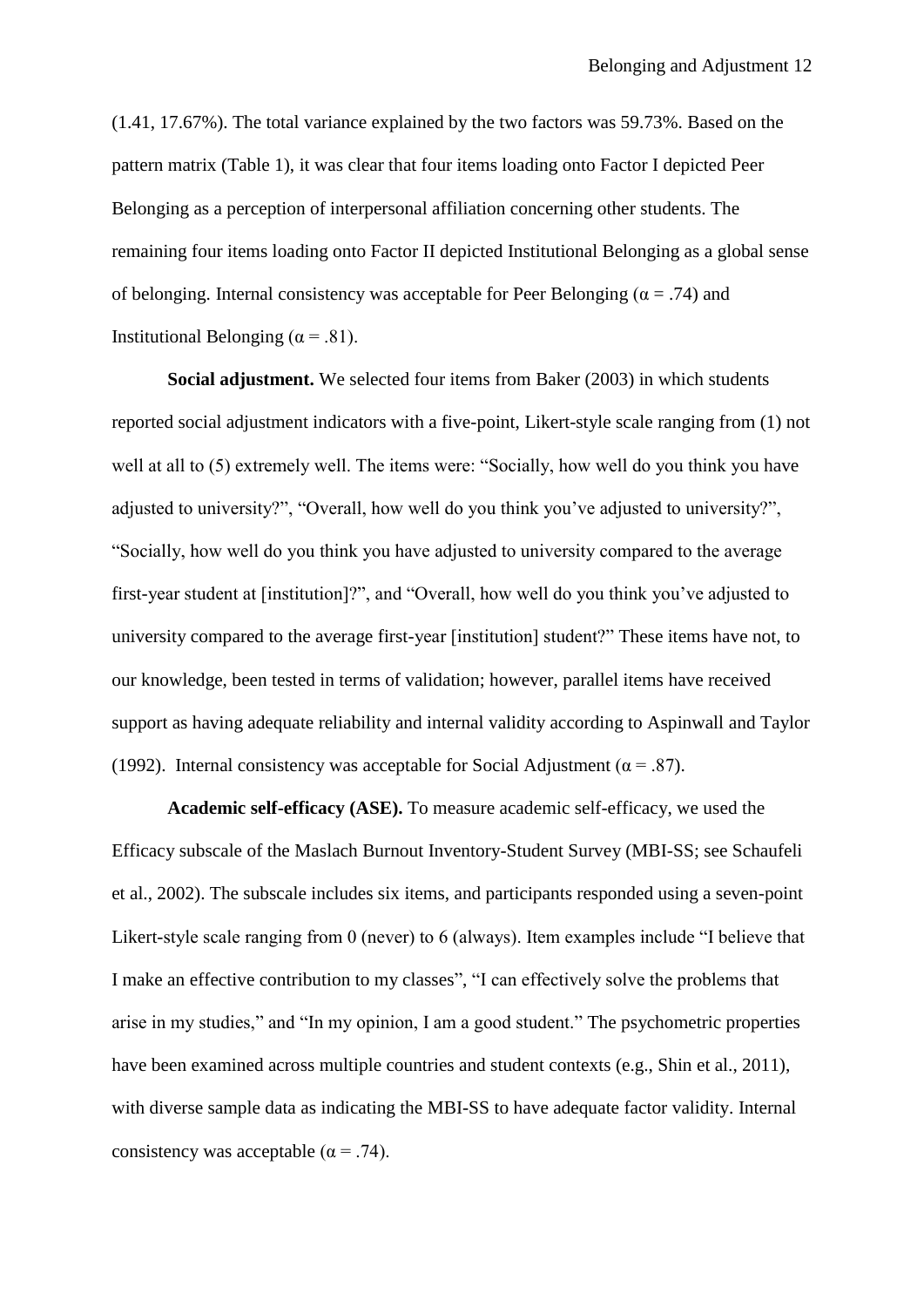(1.41, 17.67%). The total variance explained by the two factors was 59.73%. Based on the pattern matrix (Table 1), it was clear that four items loading onto Factor I depicted Peer Belonging as a perception of interpersonal affiliation concerning other students. The remaining four items loading onto Factor II depicted Institutional Belonging as a global sense of belonging. Internal consistency was acceptable for Peer Belonging ( $\alpha = .74$ ) and Institutional Belonging ( $\alpha$  = .81).

**Social adjustment.** We selected four items from Baker (2003) in which students reported social adjustment indicators with a five-point, Likert-style scale ranging from (1) not well at all to (5) extremely well. The items were: "Socially, how well do you think you have adjusted to university?", "Overall, how well do you think you've adjusted to university?", "Socially, how well do you think you have adjusted to university compared to the average first-year student at [institution]?", and "Overall, how well do you think you've adjusted to university compared to the average first-year [institution] student?" These items have not, to our knowledge, been tested in terms of validation; however, parallel items have received support as having adequate reliability and internal validity according to Aspinwall and Taylor (1992). Internal consistency was acceptable for Social Adjustment ( $\alpha$  = .87).

**Academic self-efficacy (ASE).** To measure academic self-efficacy, we used the Efficacy subscale of the Maslach Burnout Inventory-Student Survey (MBI-SS; see Schaufeli et al., 2002). The subscale includes six items, and participants responded using a seven-point Likert-style scale ranging from 0 (never) to 6 (always). Item examples include "I believe that I make an effective contribution to my classes", "I can effectively solve the problems that arise in my studies," and "In my opinion, I am a good student." The psychometric properties have been examined across multiple countries and student contexts (e.g., Shin et al., 2011), with diverse sample data as indicating the MBI-SS to have adequate factor validity. Internal consistency was acceptable ( $\alpha$  = .74).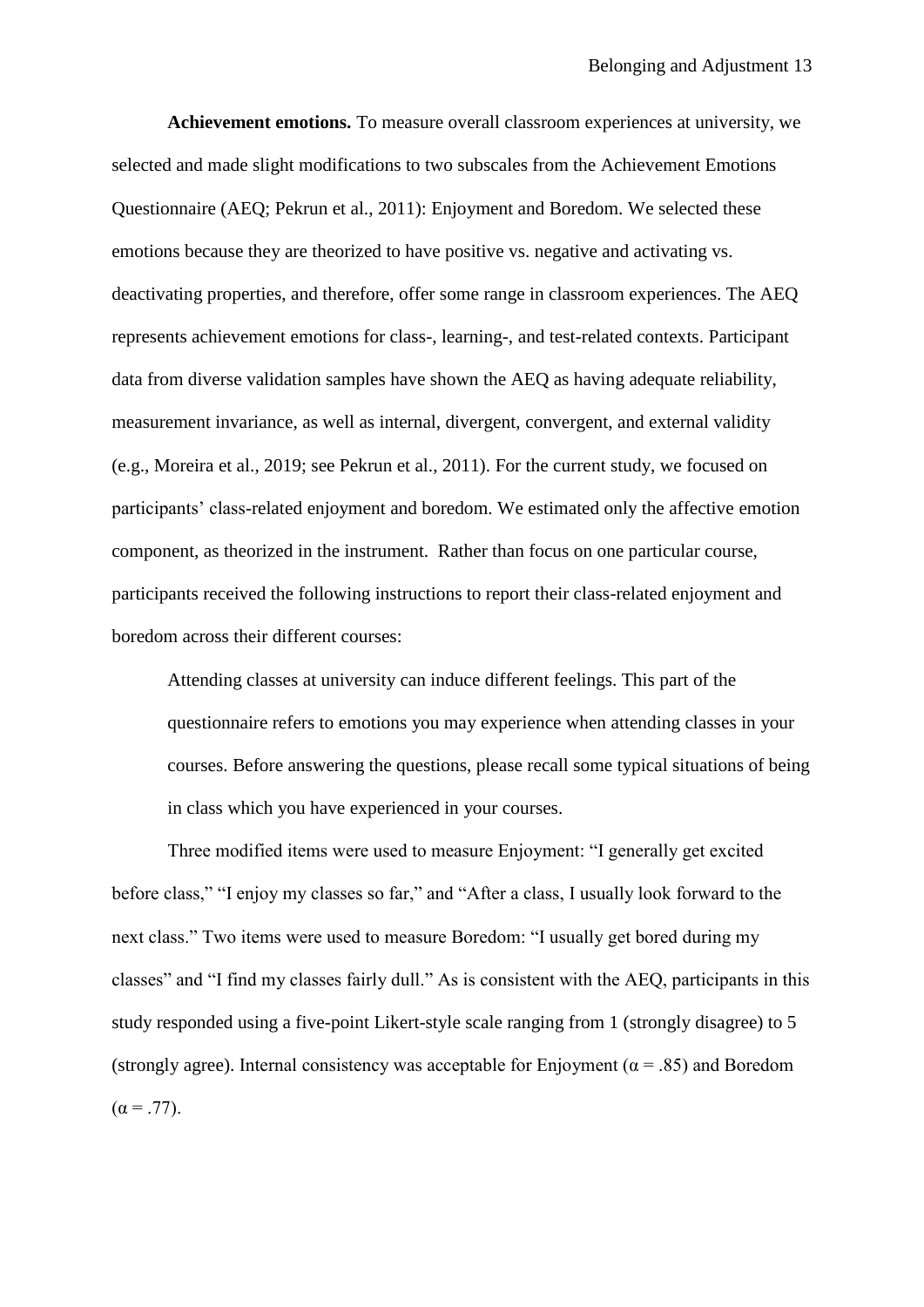**Achievement emotions.** To measure overall classroom experiences at university, we selected and made slight modifications to two subscales from the Achievement Emotions Questionnaire (AEQ; Pekrun et al., 2011): Enjoyment and Boredom. We selected these emotions because they are theorized to have positive vs. negative and activating vs. deactivating properties, and therefore, offer some range in classroom experiences. The AEQ represents achievement emotions for class-, learning-, and test-related contexts. Participant data from diverse validation samples have shown the AEQ as having adequate reliability, measurement invariance, as well as internal, divergent, convergent, and external validity (e.g., Moreira et al., 2019; see Pekrun et al., 2011). For the current study, we focused on participants' class-related enjoyment and boredom. We estimated only the affective emotion component, as theorized in the instrument. Rather than focus on one particular course, participants received the following instructions to report their class-related enjoyment and boredom across their different courses:

Attending classes at university can induce different feelings. This part of the questionnaire refers to emotions you may experience when attending classes in your courses. Before answering the questions, please recall some typical situations of being in class which you have experienced in your courses.

Three modified items were used to measure Enjoyment: "I generally get excited before class," "I enjoy my classes so far," and "After a class, I usually look forward to the next class." Two items were used to measure Boredom: "I usually get bored during my classes" and "I find my classes fairly dull." As is consistent with the AEQ, participants in this study responded using a five-point Likert-style scale ranging from 1 (strongly disagree) to 5 (strongly agree). Internal consistency was acceptable for Enjoyment ( $\alpha$  = .85) and Boredom  $(\alpha = .77)$ .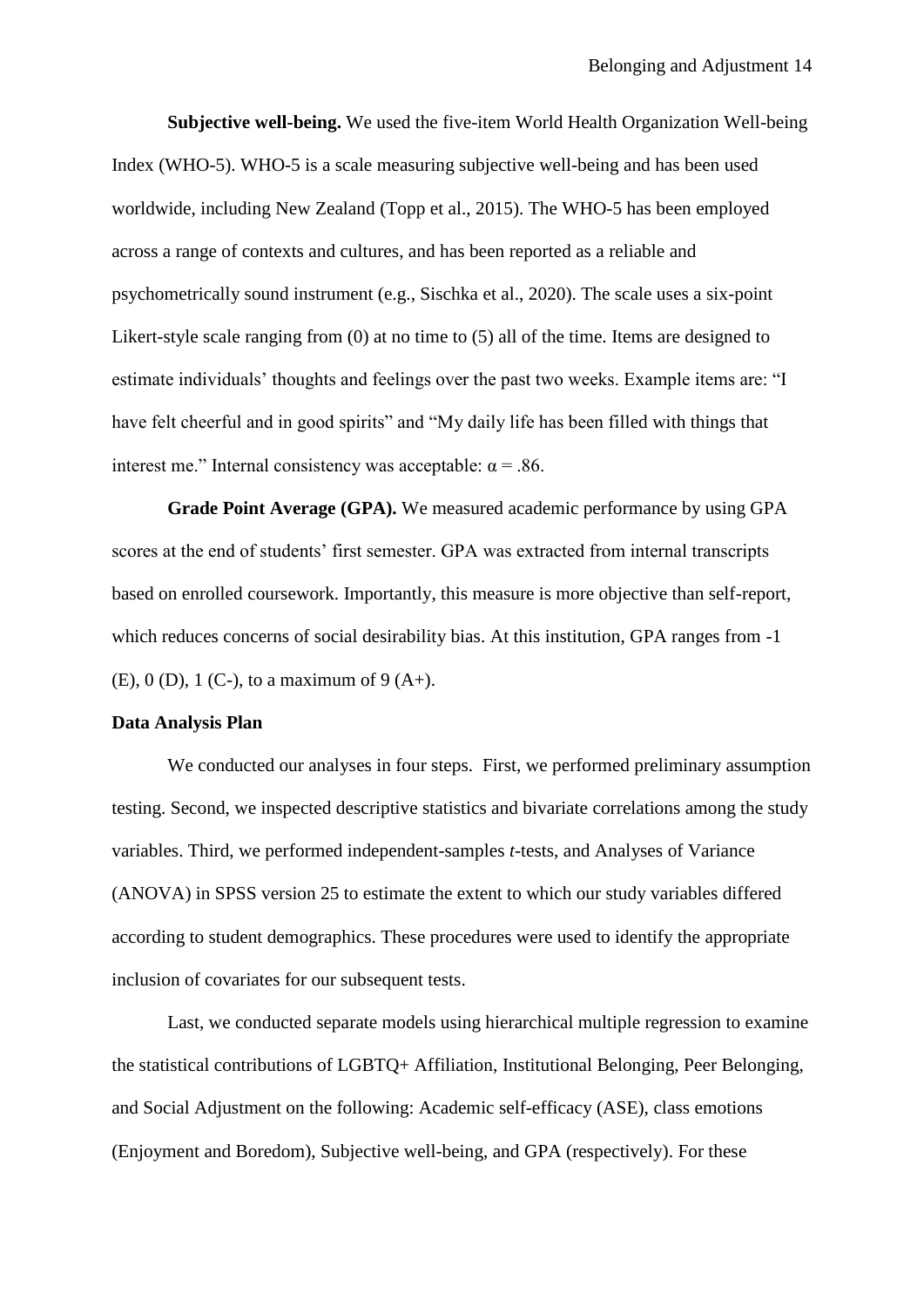**Subjective well-being.** We used the five-item World Health Organization Well-being Index (WHO-5). WHO-5 is a scale measuring subjective well-being and has been used worldwide, including New Zealand (Topp et al., 2015). The WHO-5 has been employed across a range of contexts and cultures, and has been reported as a reliable and psychometrically sound instrument (e.g., Sischka et al., 2020). The scale uses a six-point Likert-style scale ranging from (0) at no time to (5) all of the time. Items are designed to estimate individuals' thoughts and feelings over the past two weeks. Example items are: "I have felt cheerful and in good spirits" and "My daily life has been filled with things that interest me." Internal consistency was acceptable:  $\alpha$  = .86.

**Grade Point Average (GPA).** We measured academic performance by using GPA scores at the end of students' first semester. GPA was extracted from internal transcripts based on enrolled coursework. Importantly, this measure is more objective than self-report, which reduces concerns of social desirability bias. At this institution, GPA ranges from -1 (E), 0 (D), 1 (C-), to a maximum of 9 (A+).

### **Data Analysis Plan**

We conducted our analyses in four steps. First, we performed preliminary assumption testing. Second, we inspected descriptive statistics and bivariate correlations among the study variables. Third, we performed independent-samples *t*-tests, and Analyses of Variance (ANOVA) in SPSS version 25 to estimate the extent to which our study variables differed according to student demographics. These procedures were used to identify the appropriate inclusion of covariates for our subsequent tests.

Last, we conducted separate models using hierarchical multiple regression to examine the statistical contributions of LGBTQ+ Affiliation, Institutional Belonging, Peer Belonging, and Social Adjustment on the following: Academic self-efficacy (ASE), class emotions (Enjoyment and Boredom), Subjective well-being, and GPA (respectively). For these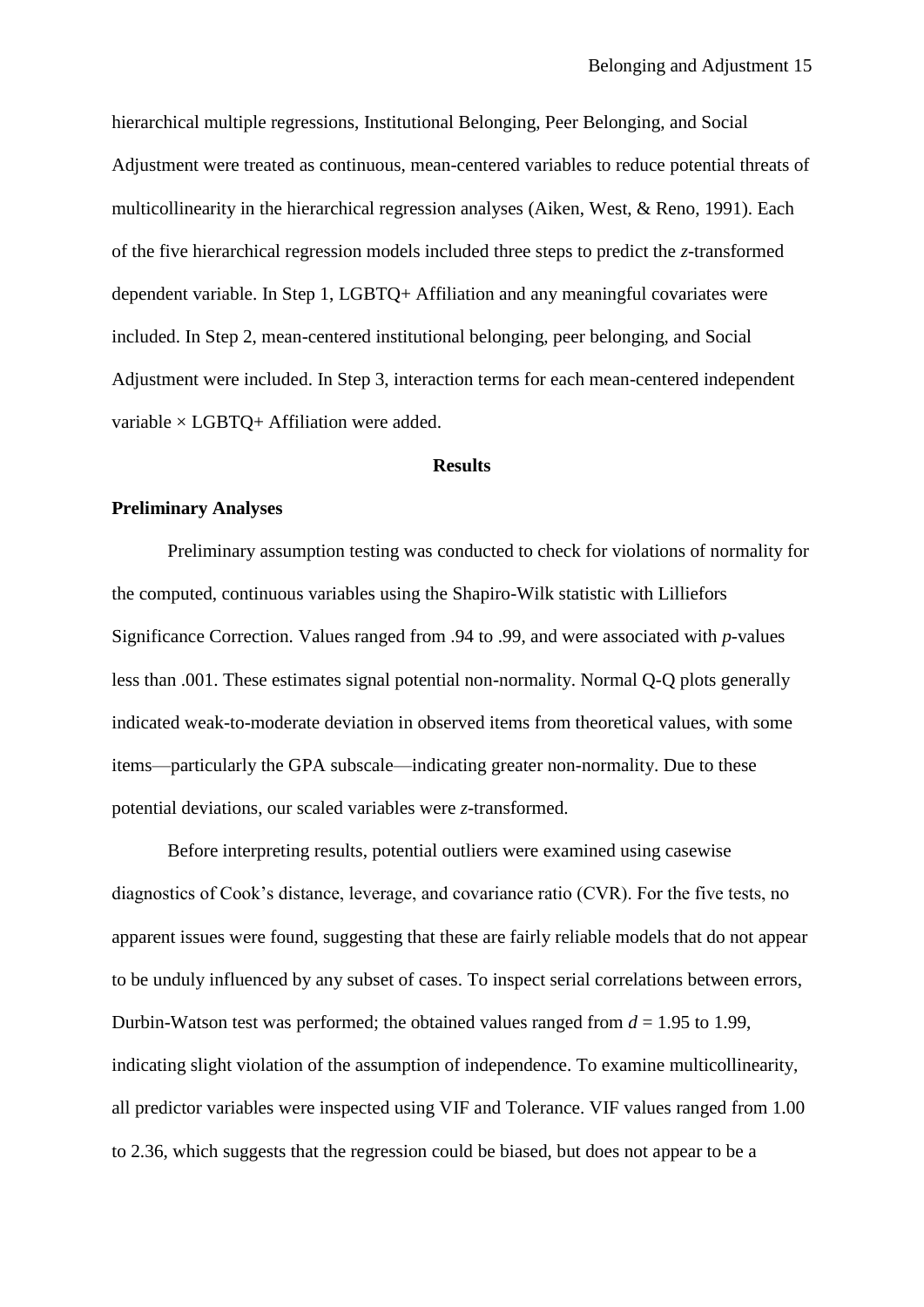hierarchical multiple regressions, Institutional Belonging, Peer Belonging, and Social Adjustment were treated as continuous, mean-centered variables to reduce potential threats of multicollinearity in the hierarchical regression analyses (Aiken, West, & Reno, 1991). Each of the five hierarchical regression models included three steps to predict the *z*-transformed dependent variable. In Step 1, LGBTQ+ Affiliation and any meaningful covariates were included. In Step 2, mean-centered institutional belonging, peer belonging, and Social Adjustment were included. In Step 3, interaction terms for each mean-centered independent variable  $\times$  LGBTQ+ Affiliation were added.

#### **Results**

#### **Preliminary Analyses**

Preliminary assumption testing was conducted to check for violations of normality for the computed, continuous variables using the Shapiro-Wilk statistic with Lilliefors Significance Correction. Values ranged from .94 to .99, and were associated with *p*-values less than .001. These estimates signal potential non-normality. Normal Q-Q plots generally indicated weak-to-moderate deviation in observed items from theoretical values, with some items—particularly the GPA subscale—indicating greater non-normality. Due to these potential deviations, our scaled variables were *z*-transformed.

Before interpreting results, potential outliers were examined using casewise diagnostics of Cook's distance, leverage, and covariance ratio (CVR). For the five tests, no apparent issues were found, suggesting that these are fairly reliable models that do not appear to be unduly influenced by any subset of cases. To inspect serial correlations between errors, Durbin-Watson test was performed; the obtained values ranged from  $d = 1.95$  to 1.99, indicating slight violation of the assumption of independence. To examine multicollinearity, all predictor variables were inspected using VIF and Tolerance. VIF values ranged from 1.00 to 2.36, which suggests that the regression could be biased, but does not appear to be a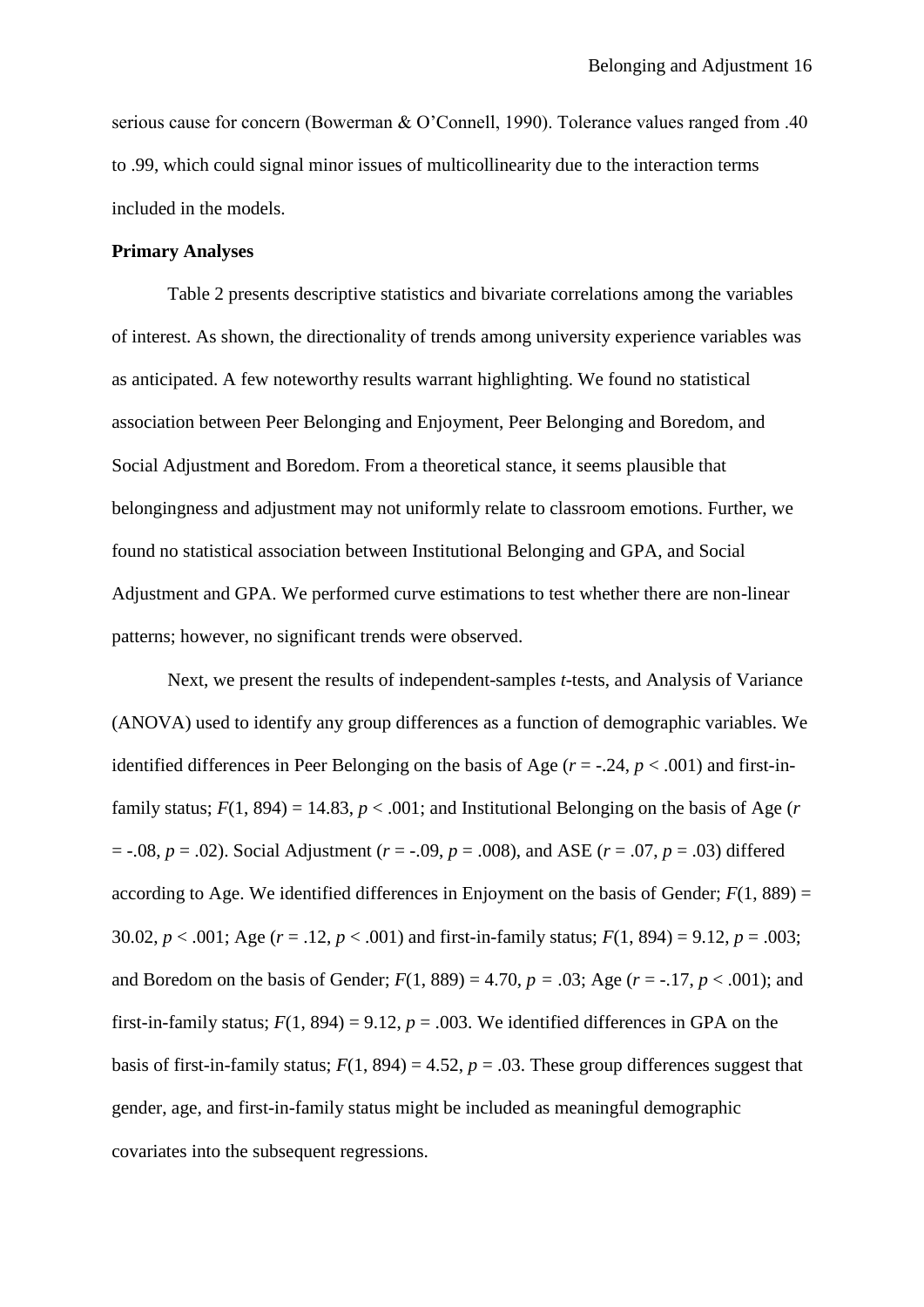serious cause for concern (Bowerman & O'Connell, 1990). Tolerance values ranged from .40 to .99, which could signal minor issues of multicollinearity due to the interaction terms included in the models.

## **Primary Analyses**

Table 2 presents descriptive statistics and bivariate correlations among the variables of interest. As shown, the directionality of trends among university experience variables was as anticipated. A few noteworthy results warrant highlighting. We found no statistical association between Peer Belonging and Enjoyment, Peer Belonging and Boredom, and Social Adjustment and Boredom. From a theoretical stance, it seems plausible that belongingness and adjustment may not uniformly relate to classroom emotions. Further, we found no statistical association between Institutional Belonging and GPA, and Social Adjustment and GPA. We performed curve estimations to test whether there are non-linear patterns; however, no significant trends were observed.

Next, we present the results of independent-samples *t*-tests, and Analysis of Variance (ANOVA) used to identify any group differences as a function of demographic variables. We identified differences in Peer Belonging on the basis of Age  $(r = -0.24, p < 0.001)$  and first-infamily status;  $F(1, 894) = 14.83$ ,  $p < .001$ ; and Institutional Belonging on the basis of Age (*r* = -.08, *p* = .02). Social Adjustment (*r* = -.09, *p* = .008), and ASE (*r* = .07, *p* = .03) differed according to Age. We identified differences in Enjoyment on the basis of Gender;  $F(1, 889) =$ 30.02,  $p < .001$ ; Age ( $r = .12$ ,  $p < .001$ ) and first-in-family status;  $F(1, 894) = 9.12$ ,  $p = .003$ ; and Boredom on the basis of Gender;  $F(1, 889) = 4.70$ ,  $p = .03$ ; Age ( $r = -.17$ ,  $p < .001$ ); and first-in-family status;  $F(1, 894) = 9.12$ ,  $p = .003$ . We identified differences in GPA on the basis of first-in-family status;  $F(1, 894) = 4.52$ ,  $p = .03$ . These group differences suggest that gender, age, and first-in-family status might be included as meaningful demographic covariates into the subsequent regressions.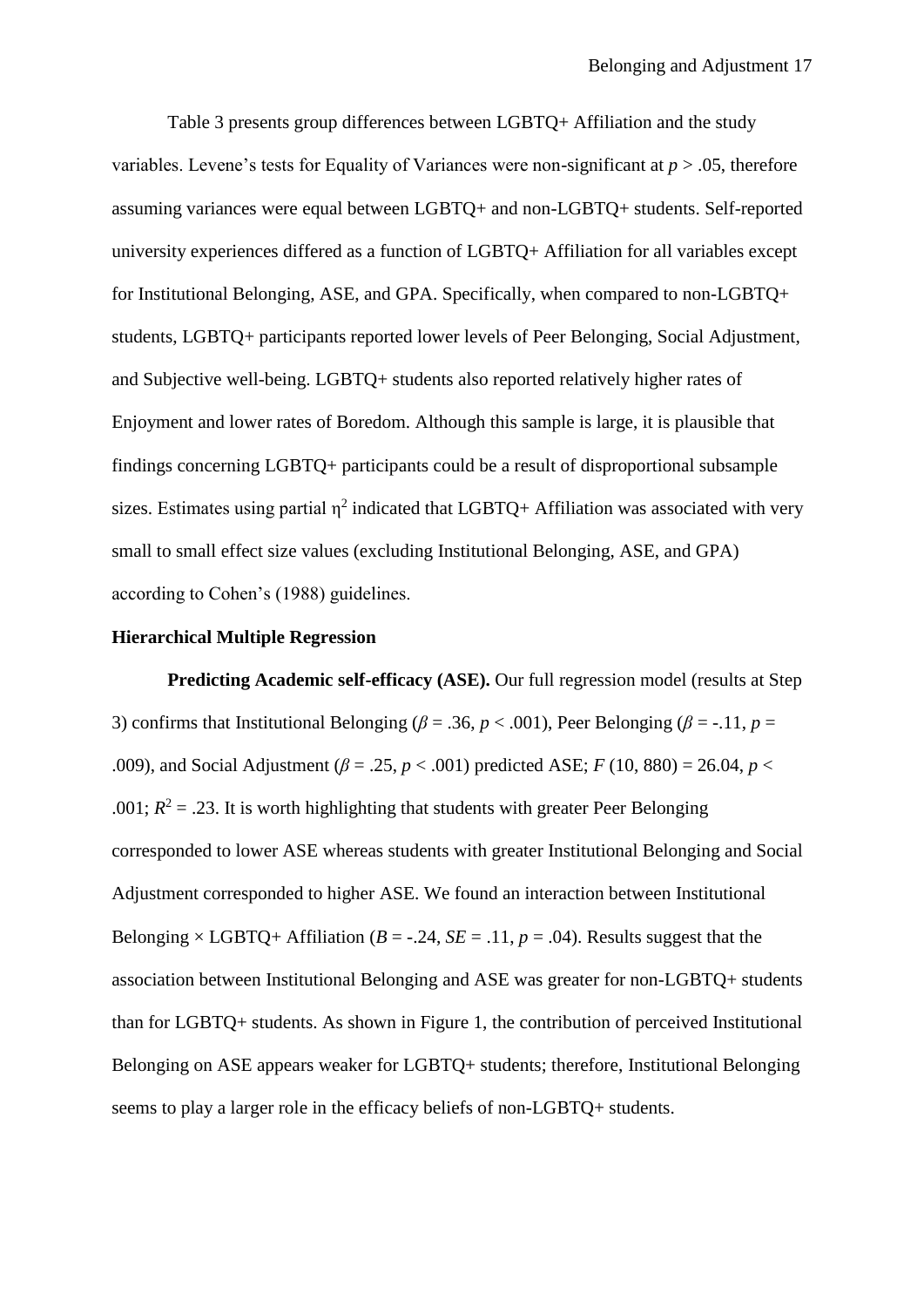Table 3 presents group differences between LGBTQ+ Affiliation and the study variables. Levene's tests for Equality of Variances were non-significant at *p* > .05, therefore assuming variances were equal between LGBTQ+ and non-LGBTQ+ students. Self-reported university experiences differed as a function of LGBTQ+ Affiliation for all variables except for Institutional Belonging, ASE, and GPA. Specifically, when compared to non-LGBTQ+ students, LGBTQ+ participants reported lower levels of Peer Belonging, Social Adjustment, and Subjective well-being. LGBTQ+ students also reported relatively higher rates of Enjoyment and lower rates of Boredom. Although this sample is large, it is plausible that findings concerning LGBTQ+ participants could be a result of disproportional subsample sizes. Estimates using partial  $\eta^2$  indicated that LGBTQ+ Affiliation was associated with very small to small effect size values (excluding Institutional Belonging, ASE, and GPA) according to Cohen's (1988) guidelines.

#### **Hierarchical Multiple Regression**

**Predicting Academic self-efficacy (ASE).** Our full regression model (results at Step 3) confirms that Institutional Belonging ( $\beta = .36$ ,  $p < .001$ ), Peer Belonging ( $\beta = -.11$ ,  $p =$ .009), and Social Adjustment ( $\beta = .25$ ,  $p < .001$ ) predicted ASE; *F* (10, 880) = 26.04, *p* < .001;  $R^2 = .23$ . It is worth highlighting that students with greater Peer Belonging corresponded to lower ASE whereas students with greater Institutional Belonging and Social Adjustment corresponded to higher ASE. We found an interaction between Institutional Belonging  $\times$  LGBTQ+ Affiliation (*B* = -.24, *SE* = .11, *p* = .04). Results suggest that the association between Institutional Belonging and ASE was greater for non-LGBTQ+ students than for LGBTQ+ students. As shown in Figure 1, the contribution of perceived Institutional Belonging on ASE appears weaker for LGBTQ+ students; therefore, Institutional Belonging seems to play a larger role in the efficacy beliefs of non-LGBTQ+ students.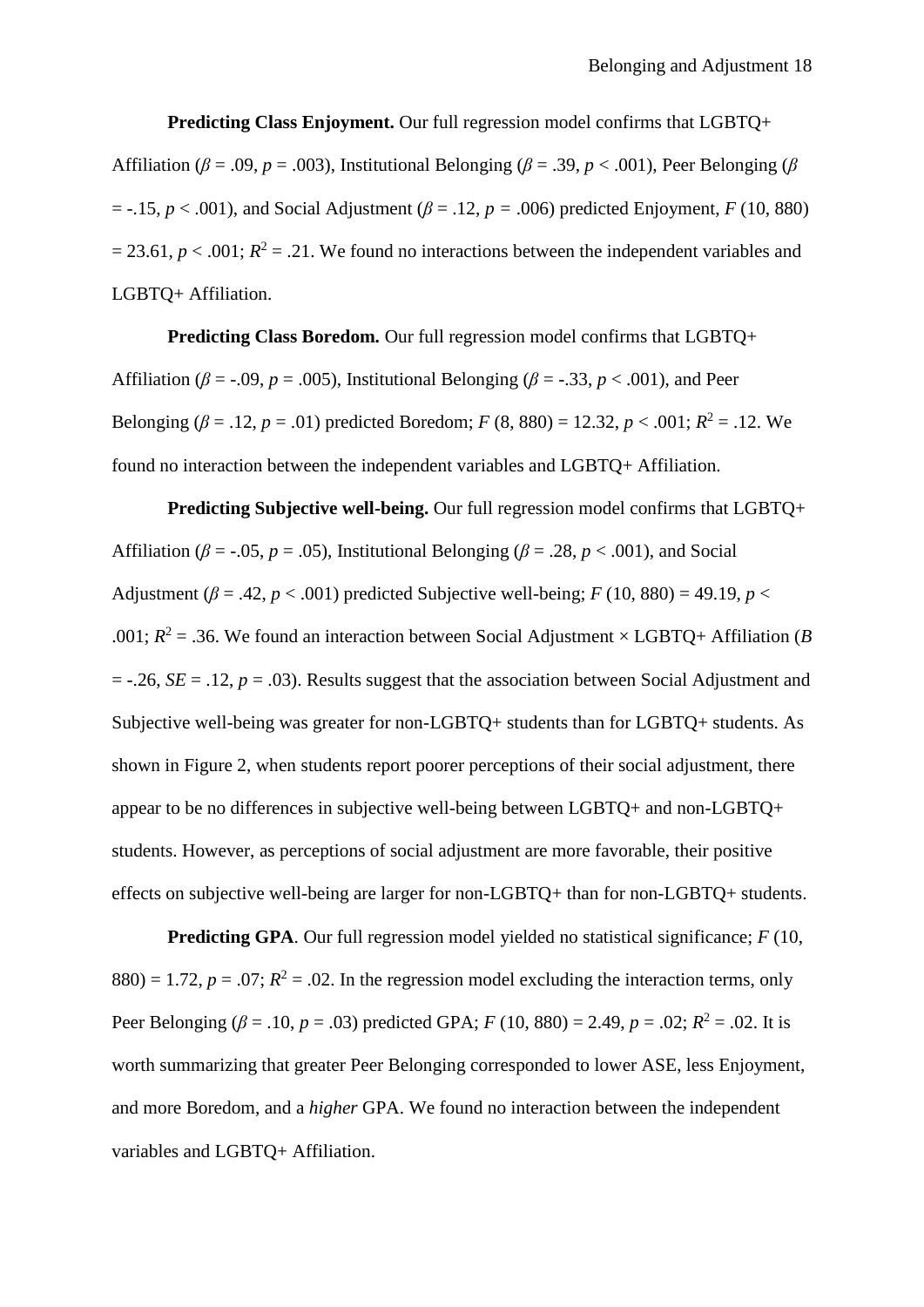**Predicting Class Enjoyment.** Our full regression model confirms that LGBTQ+ Affiliation ( $\beta$  = .09, *p* = .003), Institutional Belonging ( $\beta$  = .39, *p* < .001), Peer Belonging ( $\beta$  $= -.15$ ,  $p < .001$ ), and Social Adjustment ( $\beta = .12$ ,  $p = .006$ ) predicted Enjoyment, *F* (10, 880)  $= 23.61, p < .001; R<sup>2</sup> = .21$ . We found no interactions between the independent variables and LGBTQ+ Affiliation.

**Predicting Class Boredom.** Our full regression model confirms that LGBTQ+ Affiliation ( $\beta$  = -.09, *p* = .005), Institutional Belonging ( $\beta$  = -.33, *p* < .001), and Peer Belonging ( $\beta$  = .12,  $p$  = .01) predicted Boredom; *F* (8, 880) = 12.32,  $p < .001$ ;  $R^2$  = .12. We found no interaction between the independent variables and LGBTQ+ Affiliation.

**Predicting Subjective well-being.** Our full regression model confirms that LGBTQ+ Affiliation ( $\beta$  = -.05, *p* = .05), Institutional Belonging ( $\beta$  = .28, *p* < .001), and Social Adjustment ( $\beta$  = .42,  $p < .001$ ) predicted Subjective well-being; *F* (10, 880) = 49.19, *p* < .001;  $R^2 = 0.36$ . We found an interaction between Social Adjustment × LGBTQ+ Affiliation (*B*  $= -.26$ , *SE*  $= .12$ , *p*  $= .03$ ). Results suggest that the association between Social Adjustment and Subjective well-being was greater for non-LGBTQ+ students than for LGBTQ+ students. As shown in Figure 2, when students report poorer perceptions of their social adjustment, there appear to be no differences in subjective well-being between LGBTQ+ and non-LGBTQ+ students. However, as perceptions of social adjustment are more favorable, their positive effects on subjective well-being are larger for non-LGBTQ+ than for non-LGBTQ+ students.

**Predicting GPA**. Our full regression model yielded no statistical significance; *F* (10,  $880$ ) = 1.72,  $p = .07$ ;  $R^2 = .02$ . In the regression model excluding the interaction terms, only Peer Belonging ( $\beta$  = .10,  $p$  = .03) predicted GPA;  $F(10, 880) = 2.49$ ,  $p = .02$ ;  $R^2 = .02$ . It is worth summarizing that greater Peer Belonging corresponded to lower ASE, less Enjoyment, and more Boredom, and a *higher* GPA. We found no interaction between the independent variables and LGBTQ+ Affiliation.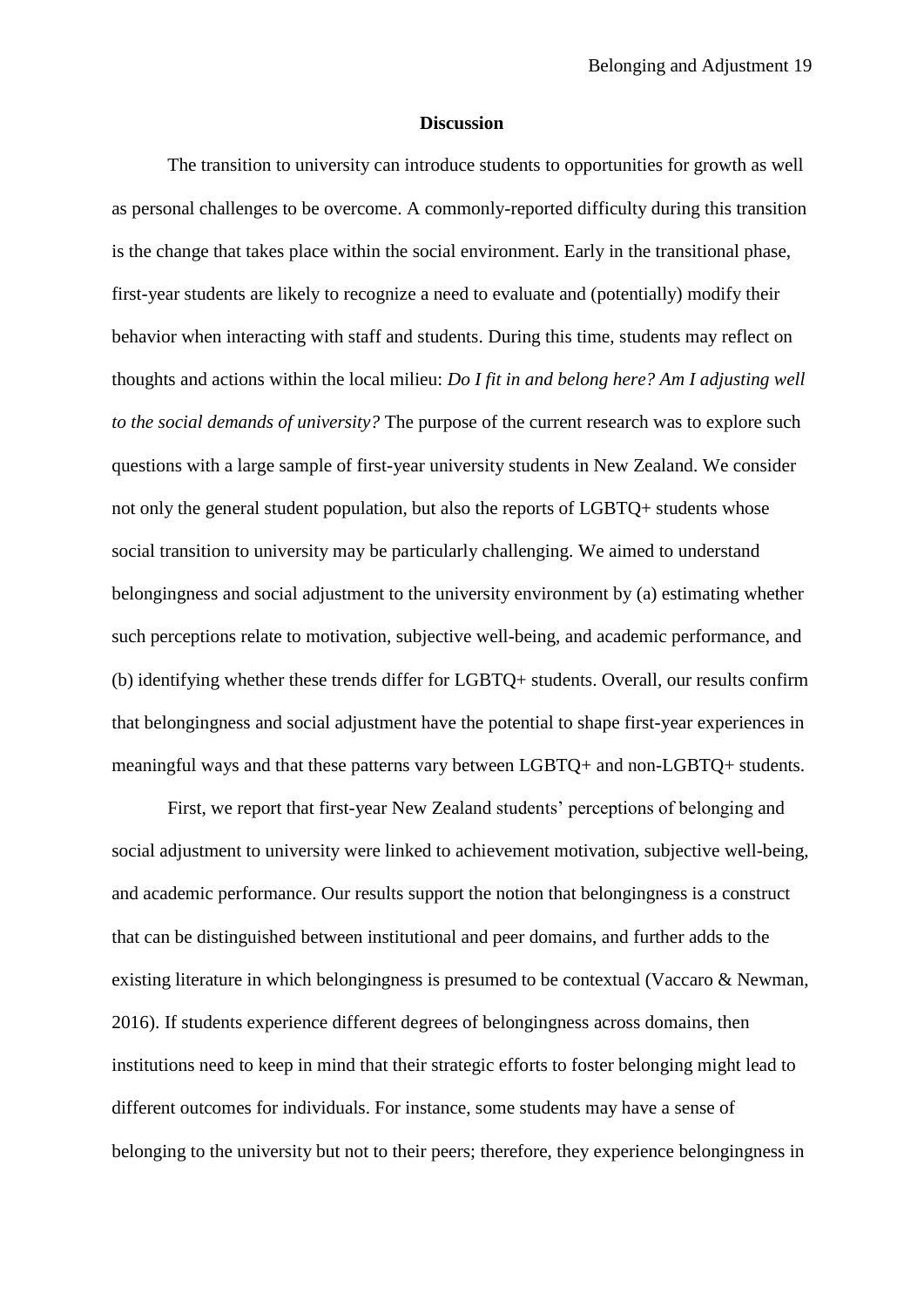#### **Discussion**

The transition to university can introduce students to opportunities for growth as well as personal challenges to be overcome. A commonly-reported difficulty during this transition is the change that takes place within the social environment. Early in the transitional phase, first-year students are likely to recognize a need to evaluate and (potentially) modify their behavior when interacting with staff and students. During this time, students may reflect on thoughts and actions within the local milieu: *Do I fit in and belong here? Am I adjusting well to the social demands of university?* The purpose of the current research was to explore such questions with a large sample of first-year university students in New Zealand. We consider not only the general student population, but also the reports of LGBTQ+ students whose social transition to university may be particularly challenging. We aimed to understand belongingness and social adjustment to the university environment by (a) estimating whether such perceptions relate to motivation, subjective well-being, and academic performance, and (b) identifying whether these trends differ for LGBTQ+ students. Overall, our results confirm that belongingness and social adjustment have the potential to shape first-year experiences in meaningful ways and that these patterns vary between LGBTQ+ and non-LGBTQ+ students.

First, we report that first-year New Zealand students' perceptions of belonging and social adjustment to university were linked to achievement motivation, subjective well-being, and academic performance. Our results support the notion that belongingness is a construct that can be distinguished between institutional and peer domains, and further adds to the existing literature in which belongingness is presumed to be contextual (Vaccaro & Newman, 2016). If students experience different degrees of belongingness across domains, then institutions need to keep in mind that their strategic efforts to foster belonging might lead to different outcomes for individuals. For instance, some students may have a sense of belonging to the university but not to their peers; therefore, they experience belongingness in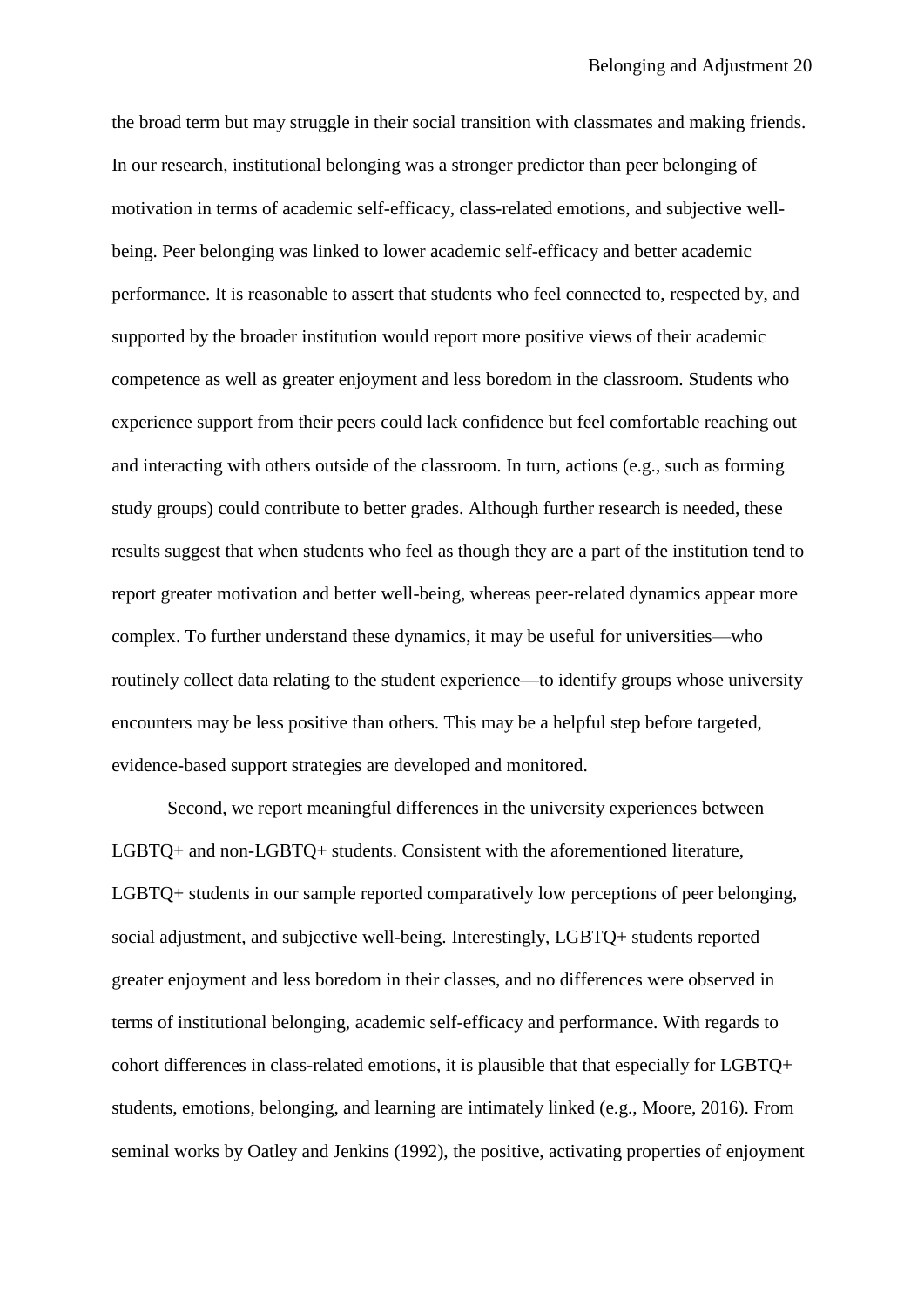the broad term but may struggle in their social transition with classmates and making friends. In our research, institutional belonging was a stronger predictor than peer belonging of motivation in terms of academic self-efficacy, class-related emotions, and subjective wellbeing. Peer belonging was linked to lower academic self-efficacy and better academic performance. It is reasonable to assert that students who feel connected to, respected by, and supported by the broader institution would report more positive views of their academic competence as well as greater enjoyment and less boredom in the classroom. Students who experience support from their peers could lack confidence but feel comfortable reaching out and interacting with others outside of the classroom. In turn, actions (e.g., such as forming study groups) could contribute to better grades. Although further research is needed, these results suggest that when students who feel as though they are a part of the institution tend to report greater motivation and better well-being, whereas peer-related dynamics appear more complex. To further understand these dynamics, it may be useful for universities—who routinely collect data relating to the student experience—to identify groups whose university encounters may be less positive than others. This may be a helpful step before targeted, evidence-based support strategies are developed and monitored.

Second, we report meaningful differences in the university experiences between LGBTQ+ and non-LGBTQ+ students. Consistent with the aforementioned literature, LGBTQ+ students in our sample reported comparatively low perceptions of peer belonging, social adjustment, and subjective well-being. Interestingly, LGBTQ+ students reported greater enjoyment and less boredom in their classes, and no differences were observed in terms of institutional belonging, academic self-efficacy and performance. With regards to cohort differences in class-related emotions, it is plausible that that especially for LGBTQ+ students, emotions, belonging, and learning are intimately linked (e.g., Moore, 2016). From seminal works by Oatley and Jenkins (1992), the positive, activating properties of enjoyment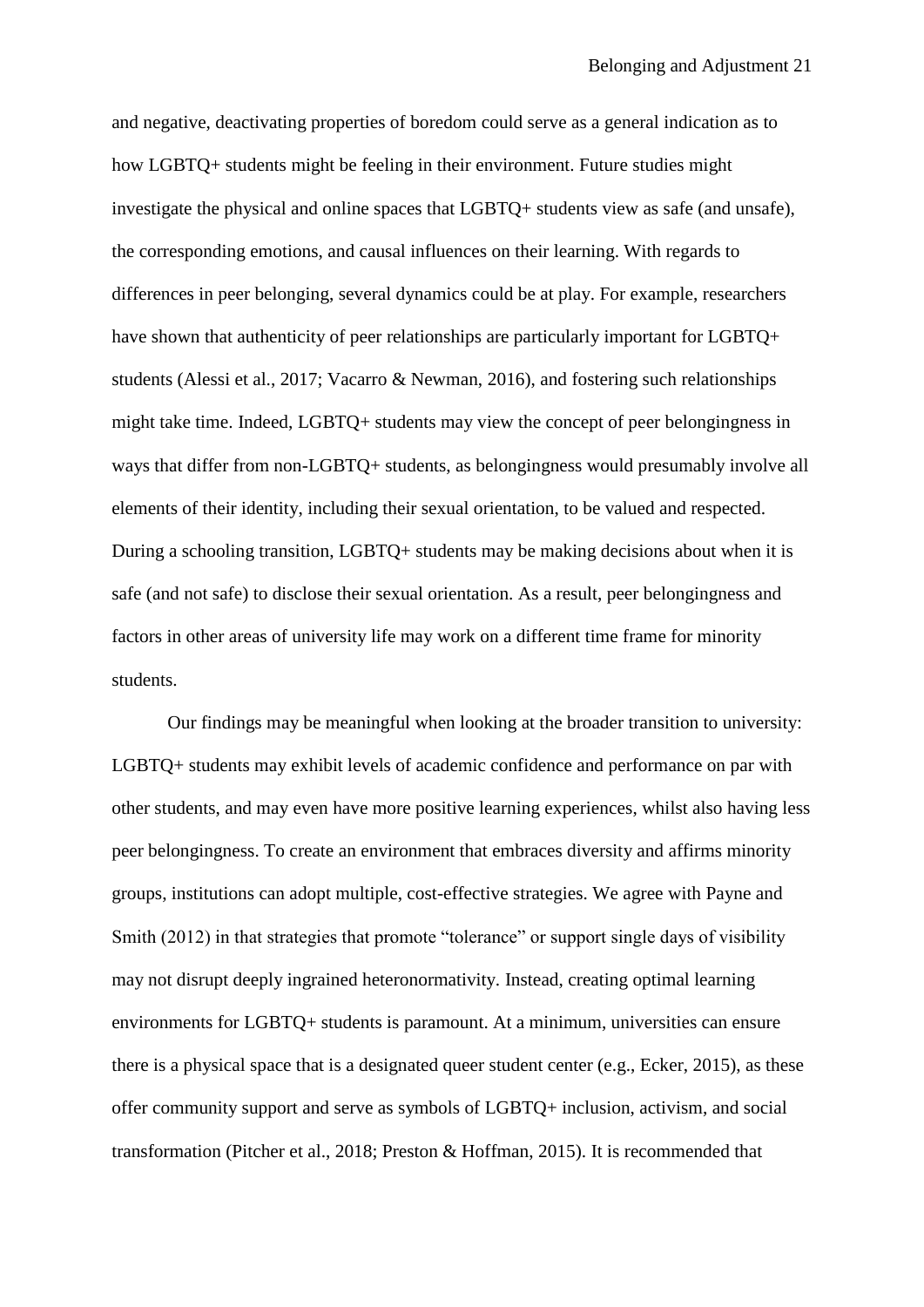and negative, deactivating properties of boredom could serve as a general indication as to how LGBTQ+ students might be feeling in their environment. Future studies might investigate the physical and online spaces that LGBTQ+ students view as safe (and unsafe), the corresponding emotions, and causal influences on their learning. With regards to differences in peer belonging, several dynamics could be at play. For example, researchers have shown that authenticity of peer relationships are particularly important for LGBTQ+ students (Alessi et al., 2017; Vacarro & Newman, 2016), and fostering such relationships might take time. Indeed, LGBTQ+ students may view the concept of peer belongingness in ways that differ from non-LGBTQ+ students, as belongingness would presumably involve all elements of their identity, including their sexual orientation, to be valued and respected. During a schooling transition, LGBTQ+ students may be making decisions about when it is safe (and not safe) to disclose their sexual orientation. As a result, peer belongingness and factors in other areas of university life may work on a different time frame for minority students.

Our findings may be meaningful when looking at the broader transition to university: LGBTQ+ students may exhibit levels of academic confidence and performance on par with other students, and may even have more positive learning experiences, whilst also having less peer belongingness. To create an environment that embraces diversity and affirms minority groups, institutions can adopt multiple, cost-effective strategies. We agree with Payne and Smith (2012) in that strategies that promote "tolerance" or support single days of visibility may not disrupt deeply ingrained heteronormativity. Instead, creating optimal learning environments for LGBTQ+ students is paramount. At a minimum, universities can ensure there is a physical space that is a designated queer student center (e.g., Ecker, 2015), as these offer community support and serve as symbols of LGBTQ+ inclusion, activism, and social transformation (Pitcher et al., 2018; Preston & Hoffman, 2015). It is recommended that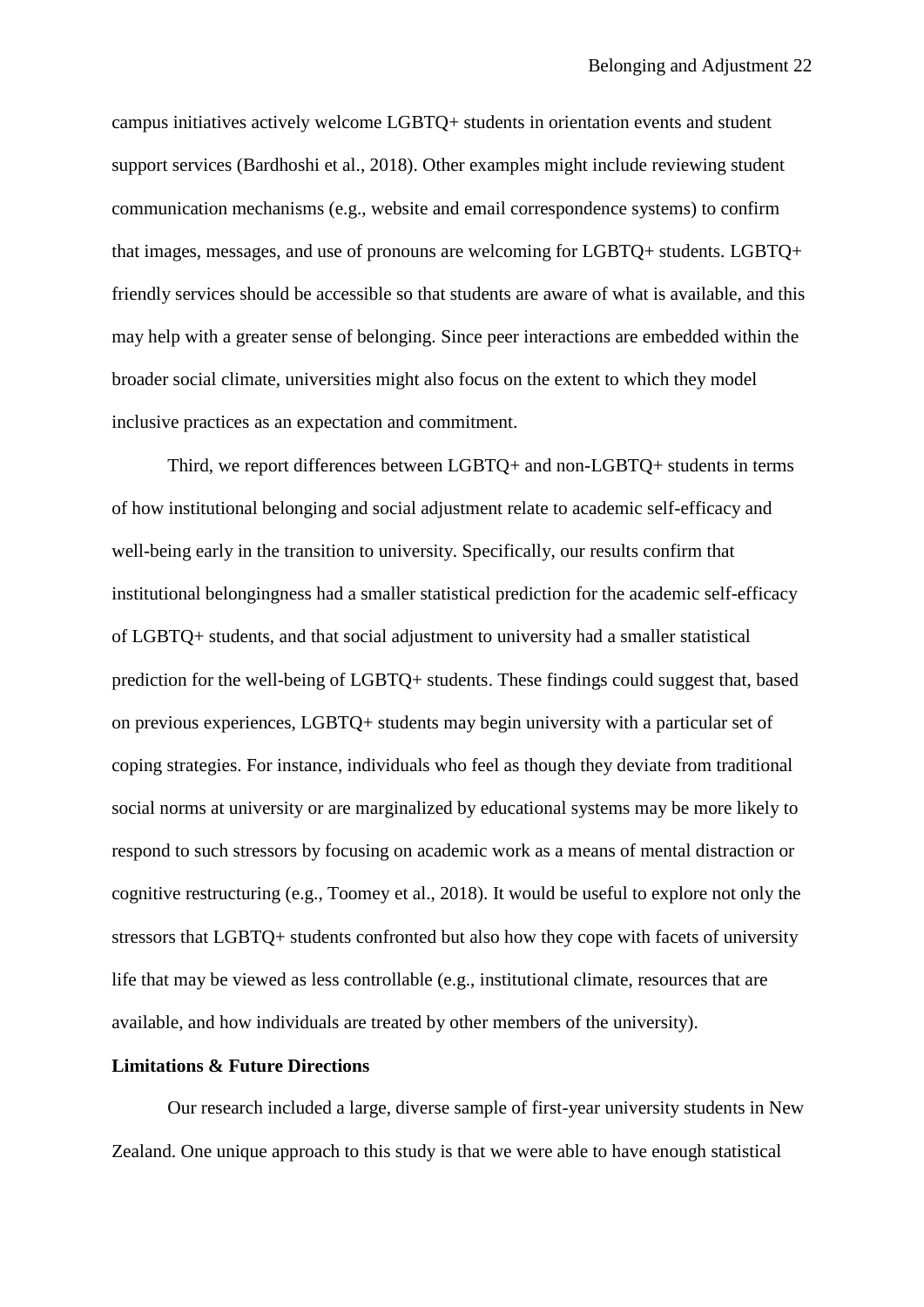campus initiatives actively welcome LGBTQ+ students in orientation events and student support services (Bardhoshi et al., 2018). Other examples might include reviewing student communication mechanisms (e.g., website and email correspondence systems) to confirm that images, messages, and use of pronouns are welcoming for LGBTQ+ students. LGBTQ+ friendly services should be accessible so that students are aware of what is available, and this may help with a greater sense of belonging. Since peer interactions are embedded within the broader social climate, universities might also focus on the extent to which they model inclusive practices as an expectation and commitment.

Third, we report differences between LGBTQ+ and non-LGBTQ+ students in terms of how institutional belonging and social adjustment relate to academic self-efficacy and well-being early in the transition to university. Specifically, our results confirm that institutional belongingness had a smaller statistical prediction for the academic self-efficacy of LGBTQ+ students, and that social adjustment to university had a smaller statistical prediction for the well-being of LGBTQ+ students. These findings could suggest that, based on previous experiences, LGBTQ+ students may begin university with a particular set of coping strategies. For instance, individuals who feel as though they deviate from traditional social norms at university or are marginalized by educational systems may be more likely to respond to such stressors by focusing on academic work as a means of mental distraction or cognitive restructuring (e.g., Toomey et al., 2018). It would be useful to explore not only the stressors that LGBTQ+ students confronted but also how they cope with facets of university life that may be viewed as less controllable (e.g., institutional climate, resources that are available, and how individuals are treated by other members of the university).

## **Limitations & Future Directions**

Our research included a large, diverse sample of first-year university students in New Zealand. One unique approach to this study is that we were able to have enough statistical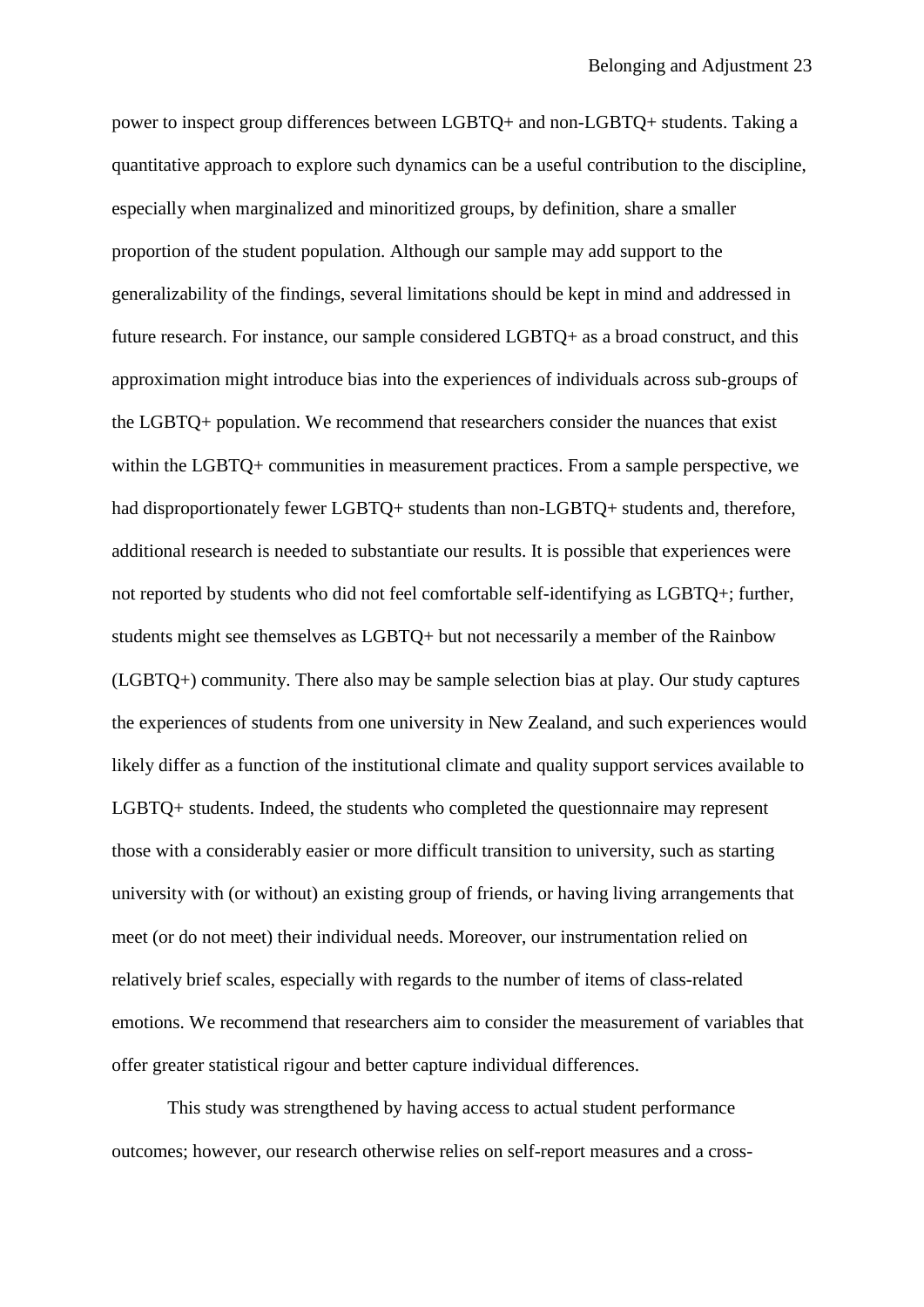power to inspect group differences between LGBTQ+ and non-LGBTQ+ students. Taking a quantitative approach to explore such dynamics can be a useful contribution to the discipline, especially when marginalized and minoritized groups, by definition, share a smaller proportion of the student population. Although our sample may add support to the generalizability of the findings, several limitations should be kept in mind and addressed in future research. For instance, our sample considered LGBTQ+ as a broad construct, and this approximation might introduce bias into the experiences of individuals across sub-groups of the LGBTQ+ population. We recommend that researchers consider the nuances that exist within the LGBTQ+ communities in measurement practices. From a sample perspective, we had disproportionately fewer LGBTQ+ students than non-LGBTQ+ students and, therefore, additional research is needed to substantiate our results. It is possible that experiences were not reported by students who did not feel comfortable self-identifying as LGBTQ+; further, students might see themselves as LGBTQ+ but not necessarily a member of the Rainbow (LGBTQ+) community. There also may be sample selection bias at play. Our study captures the experiences of students from one university in New Zealand, and such experiences would likely differ as a function of the institutional climate and quality support services available to LGBTQ+ students. Indeed, the students who completed the questionnaire may represent those with a considerably easier or more difficult transition to university, such as starting university with (or without) an existing group of friends, or having living arrangements that meet (or do not meet) their individual needs. Moreover, our instrumentation relied on relatively brief scales, especially with regards to the number of items of class-related emotions. We recommend that researchers aim to consider the measurement of variables that offer greater statistical rigour and better capture individual differences.

This study was strengthened by having access to actual student performance outcomes; however, our research otherwise relies on self-report measures and a cross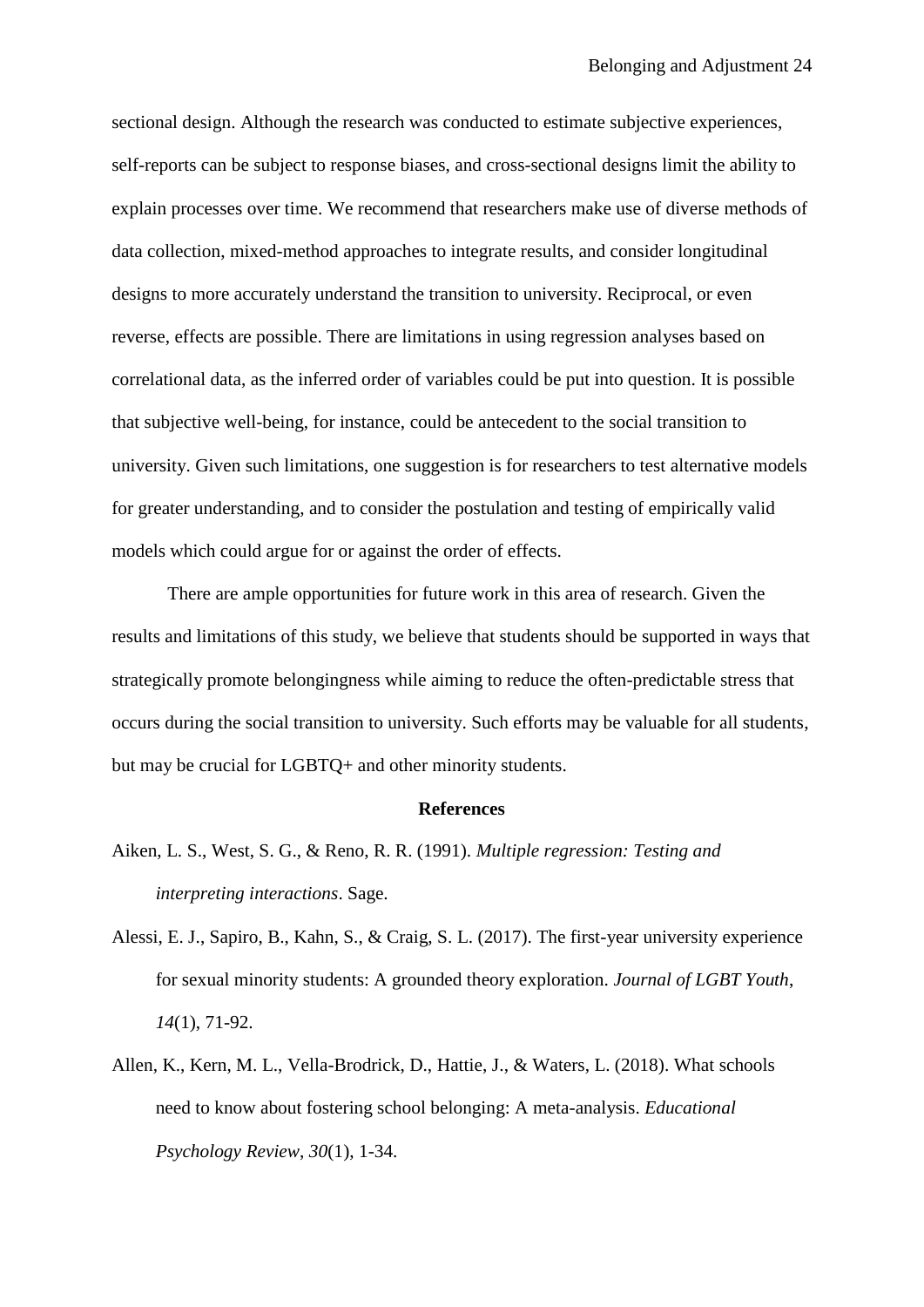sectional design. Although the research was conducted to estimate subjective experiences, self-reports can be subject to response biases, and cross-sectional designs limit the ability to explain processes over time. We recommend that researchers make use of diverse methods of data collection, mixed-method approaches to integrate results, and consider longitudinal designs to more accurately understand the transition to university. Reciprocal, or even reverse, effects are possible. There are limitations in using regression analyses based on correlational data, as the inferred order of variables could be put into question. It is possible that subjective well-being, for instance, could be antecedent to the social transition to university. Given such limitations, one suggestion is for researchers to test alternative models for greater understanding, and to consider the postulation and testing of empirically valid models which could argue for or against the order of effects.

There are ample opportunities for future work in this area of research. Given the results and limitations of this study, we believe that students should be supported in ways that strategically promote belongingness while aiming to reduce the often-predictable stress that occurs during the social transition to university. Such efforts may be valuable for all students, but may be crucial for LGBTQ+ and other minority students.

#### **References**

- Aiken, L. S., West, S. G., & Reno, R. R. (1991). *Multiple regression: Testing and interpreting interactions*. Sage.
- Alessi, E. J., Sapiro, B., Kahn, S., & Craig, S. L. (2017). The first-year university experience for sexual minority students: A grounded theory exploration. *Journal of LGBT Youth*, *14*(1), 71-92.
- Allen, K., Kern, M. L., Vella-Brodrick, D., Hattie, J., & Waters, L. (2018). What schools need to know about fostering school belonging: A meta-analysis. *Educational Psychology Review*, *30*(1), 1-34.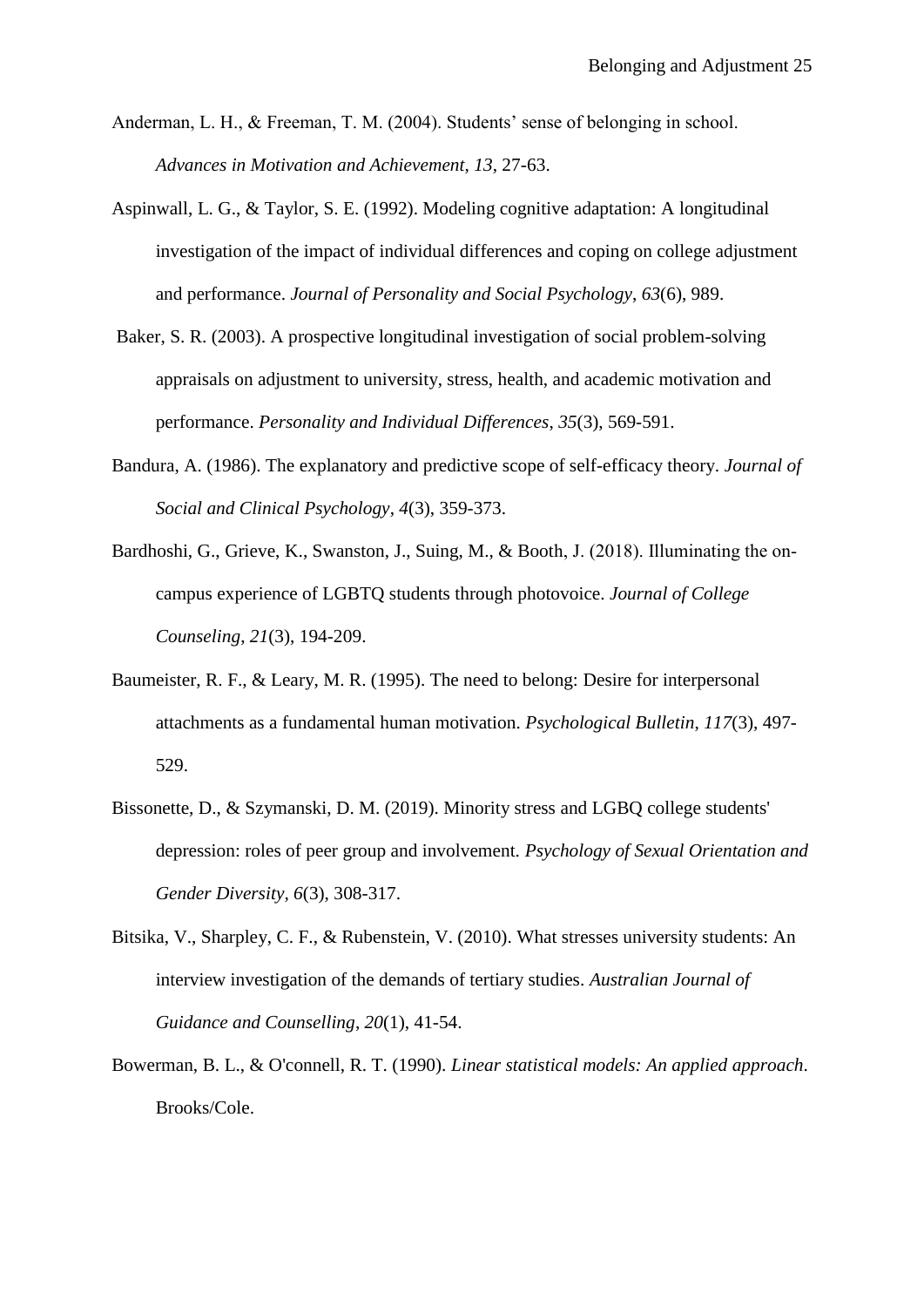- Anderman, L. H., & Freeman, T. M. (2004). Students' sense of belonging in school. *Advances in Motivation and Achievement*, *13*, 27-63.
- Aspinwall, L. G., & Taylor, S. E. (1992). Modeling cognitive adaptation: A longitudinal investigation of the impact of individual differences and coping on college adjustment and performance. *Journal of Personality and Social Psychology*, *63*(6), 989.
- Baker, S. R. (2003). A prospective longitudinal investigation of social problem-solving appraisals on adjustment to university, stress, health, and academic motivation and performance. *Personality and Individual Differences*, *35*(3), 569-591.
- Bandura, A. (1986). The explanatory and predictive scope of self-efficacy theory. *Journal of Social and Clinical Psychology*, *4*(3), 359-373.
- Bardhoshi, G., Grieve, K., Swanston, J., Suing, M., & Booth, J. (2018). Illuminating the oncampus experience of LGBTQ students through photovoice. *Journal of College Counseling*, *21*(3), 194-209.
- Baumeister, R. F., & Leary, M. R. (1995). The need to belong: Desire for interpersonal attachments as a fundamental human motivation. *Psychological Bulletin*, *117*(3), 497- 529.
- Bissonette, D., & Szymanski, D. M. (2019). Minority stress and LGBQ college students' depression: roles of peer group and involvement. *Psychology of Sexual Orientation and Gender Diversity, 6*(3), 308-317.
- Bitsika, V., Sharpley, C. F., & Rubenstein, V. (2010). What stresses university students: An interview investigation of the demands of tertiary studies. *Australian Journal of Guidance and Counselling*, *20*(1), 41-54.
- Bowerman, B. L., & O'connell, R. T. (1990). *Linear statistical models: An applied approach*. Brooks/Cole.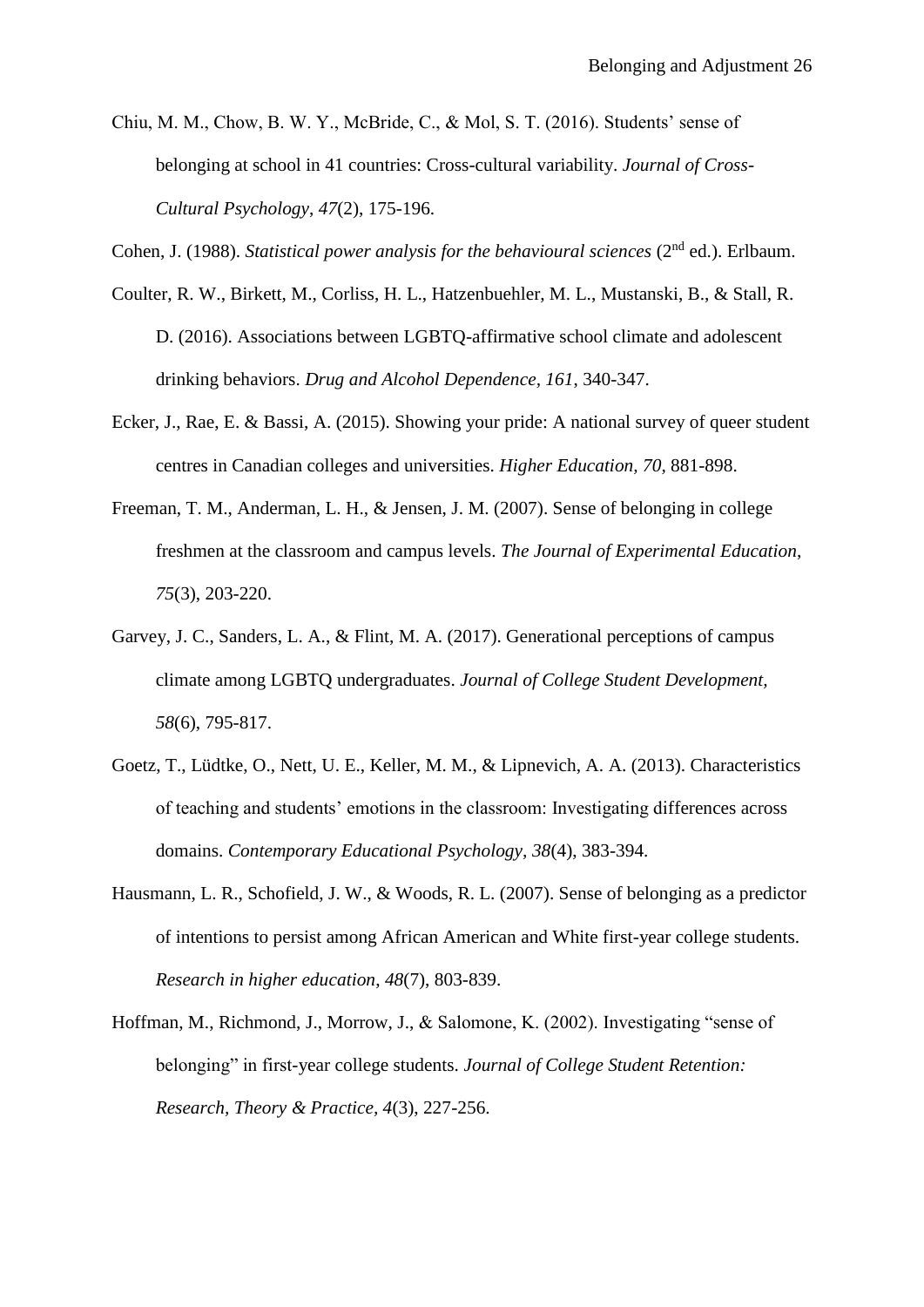- Chiu, M. M., Chow, B. W. Y., McBride, C., & Mol, S. T. (2016). Students' sense of belonging at school in 41 countries: Cross-cultural variability. *Journal of Cross-Cultural Psychology*, *47*(2), 175-196.
- Cohen, J. (1988). *Statistical power analysis for the behavioural sciences* (2<sup>nd</sup> ed.). Erlbaum.
- Coulter, R. W., Birkett, M., Corliss, H. L., Hatzenbuehler, M. L., Mustanski, B., & Stall, R. D. (2016). Associations between LGBTQ-affirmative school climate and adolescent drinking behaviors. *Drug and Alcohol Dependence, 161*, 340-347.
- Ecker, J., Rae, E. & Bassi, A. (2015). Showing your pride: A national survey of queer student centres in Canadian colleges and universities. *Higher Education, 70*, 881-898.
- Freeman, T. M., Anderman, L. H., & Jensen, J. M. (2007). Sense of belonging in college freshmen at the classroom and campus levels. *The Journal of Experimental Education*, *75*(3), 203-220.
- Garvey, J. C., Sanders, L. A., & Flint, M. A. (2017). Generational perceptions of campus climate among LGBTQ undergraduates. *Journal of College Student Development, 58*(6), 795-817.
- Goetz, T., Lüdtke, O., Nett, U. E., Keller, M. M., & Lipnevich, A. A. (2013). Characteristics of teaching and students' emotions in the classroom: Investigating differences across domains. *Contemporary Educational Psychology, 38*(4), 383-394.
- Hausmann, L. R., Schofield, J. W., & Woods, R. L. (2007). Sense of belonging as a predictor of intentions to persist among African American and White first-year college students. *Research in higher education*, *48*(7), 803-839.
- Hoffman, M., Richmond, J., Morrow, J., & Salomone, K. (2002). Investigating "sense of belonging" in first-year college students. *Journal of College Student Retention: Research, Theory & Practice, 4*(3), 227-256.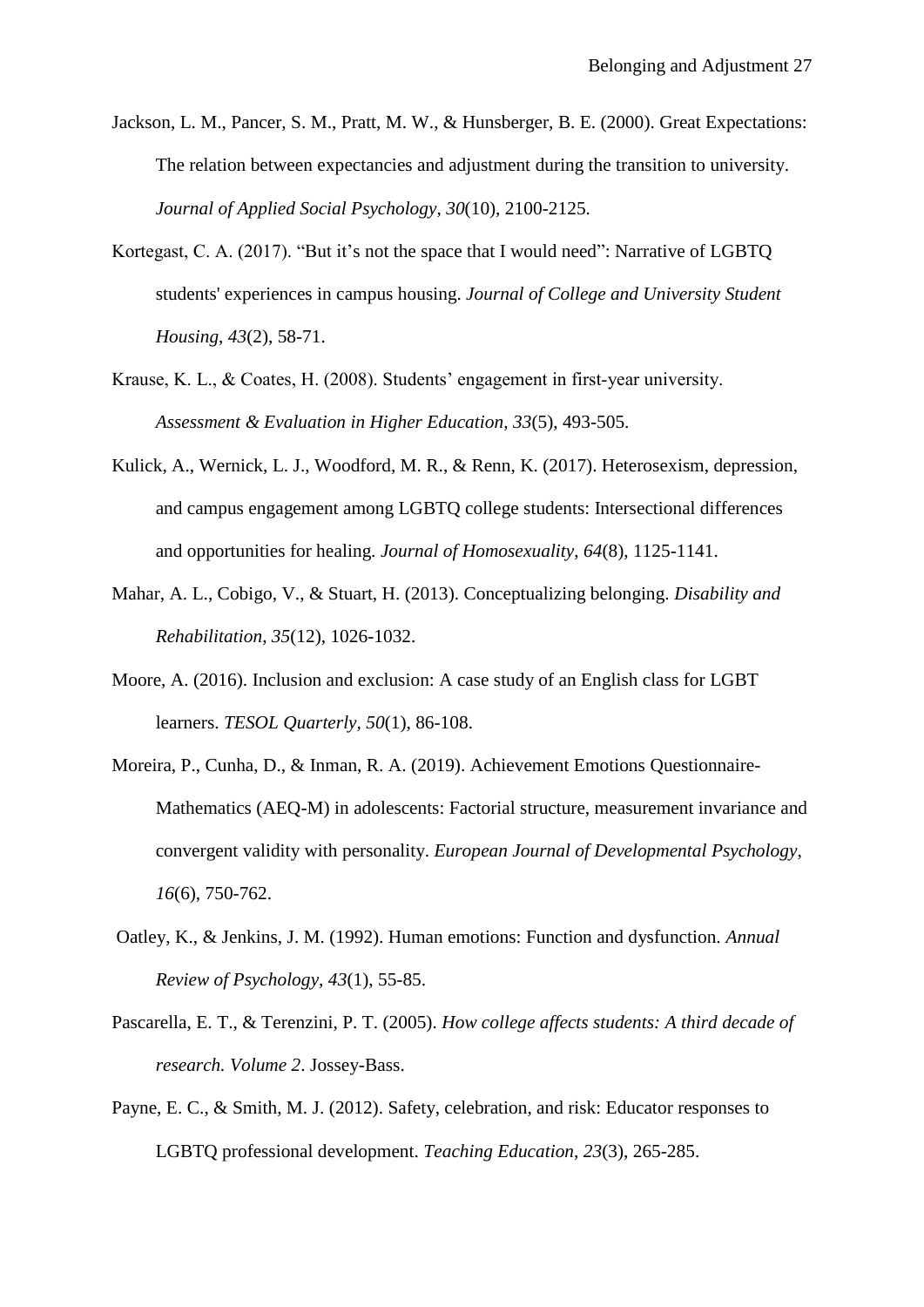- Jackson, L. M., Pancer, S. M., Pratt, M. W., & Hunsberger, B. E. (2000). Great Expectations: The relation between expectancies and adjustment during the transition to university. *Journal of Applied Social Psychology*, *30*(10), 2100-2125.
- Kortegast, C. A. (2017). "But it's not the space that I would need": Narrative of LGBTQ students' experiences in campus housing. *Journal of College and University Student Housing*, *43*(2), 58-71.
- Krause, K. L., & Coates, H. (2008). Students' engagement in first‐year university. *Assessment & Evaluation in Higher Education*, *33*(5), 493-505.
- Kulick, A., Wernick, L. J., Woodford, M. R., & Renn, K. (2017). Heterosexism, depression, and campus engagement among LGBTQ college students: Intersectional differences and opportunities for healing. *Journal of Homosexuality*, *64*(8), 1125-1141.
- Mahar, A. L., Cobigo, V., & Stuart, H. (2013). Conceptualizing belonging. *Disability and Rehabilitation*, *35*(12), 1026-1032.
- Moore, A. (2016). Inclusion and exclusion: A case study of an English class for LGBT learners. *TESOL Quarterly, 50*(1), 86-108.
- Moreira, P., Cunha, D., & Inman, R. A. (2019). Achievement Emotions Questionnaire-Mathematics (AEQ-M) in adolescents: Factorial structure, measurement invariance and convergent validity with personality. *European Journal of Developmental Psychology*, *16*(6), 750-762.
- Oatley, K., & Jenkins, J. M. (1992). Human emotions: Function and dysfunction. *Annual Review of Psychology, 43*(1), 55-85.
- Pascarella, E. T., & Terenzini, P. T. (2005). *How college affects students: A third decade of research. Volume 2*. Jossey-Bass.
- Payne, E. C., & Smith, M. J. (2012). Safety, celebration, and risk: Educator responses to LGBTQ professional development. *Teaching Education, 23*(3), 265-285.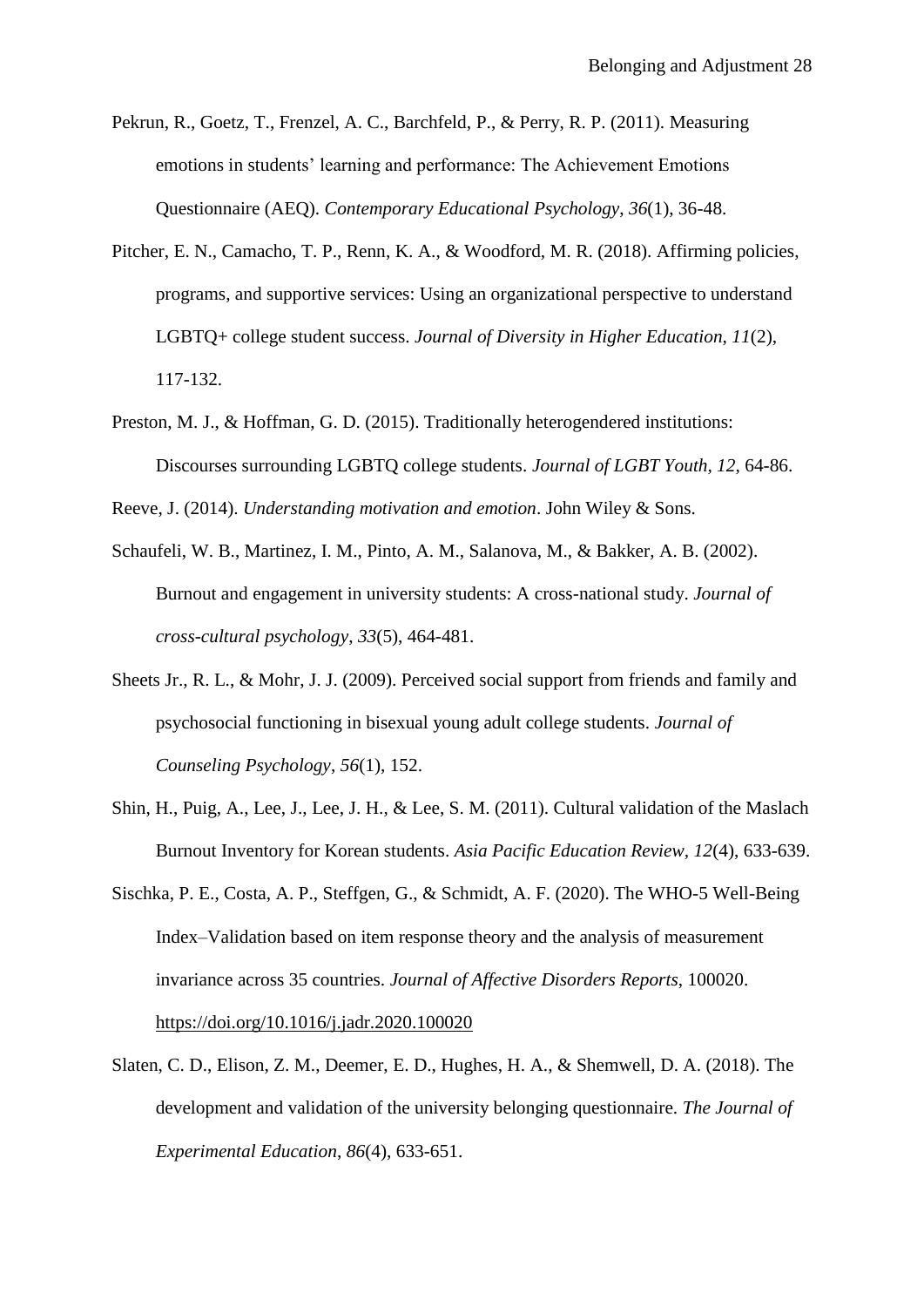- Pekrun, R., Goetz, T., Frenzel, A. C., Barchfeld, P., & Perry, R. P. (2011). Measuring emotions in students' learning and performance: The Achievement Emotions Questionnaire (AEQ). *Contemporary Educational Psychology*, *36*(1), 36-48.
- Pitcher, E. N., Camacho, T. P., Renn, K. A., & Woodford, M. R. (2018). Affirming policies, programs, and supportive services: Using an organizational perspective to understand LGBTQ+ college student success. *Journal of Diversity in Higher Education, 11*(2), 117-132.
- Preston, M. J., & Hoffman, G. D. (2015). Traditionally heterogendered institutions: Discourses surrounding LGBTQ college students. *Journal of LGBT Youth, 12*, 64-86.

Reeve, J. (2014). *Understanding motivation and emotion*. John Wiley & Sons.

- Schaufeli, W. B., Martinez, I. M., Pinto, A. M., Salanova, M., & Bakker, A. B. (2002). Burnout and engagement in university students: A cross-national study. *Journal of cross-cultural psychology*, *33*(5), 464-481.
- Sheets Jr., R. L., & Mohr, J. J. (2009). Perceived social support from friends and family and psychosocial functioning in bisexual young adult college students. *Journal of Counseling Psychology*, *56*(1), 152.
- Shin, H., Puig, A., Lee, J., Lee, J. H., & Lee, S. M. (2011). Cultural validation of the Maslach Burnout Inventory for Korean students. *Asia Pacific Education Review, 12*(4), 633-639.
- Sischka, P. E., Costa, A. P., Steffgen, G., & Schmidt, A. F. (2020). The WHO-5 Well-Being Index–Validation based on item response theory and the analysis of measurement invariance across 35 countries. *Journal of Affective Disorders Reports*, 100020. <https://doi.org/10.1016/j.jadr.2020.100020>
- Slaten, C. D., Elison, Z. M., Deemer, E. D., Hughes, H. A., & Shemwell, D. A. (2018). The development and validation of the university belonging questionnaire. *The Journal of Experimental Education*, *86*(4), 633-651.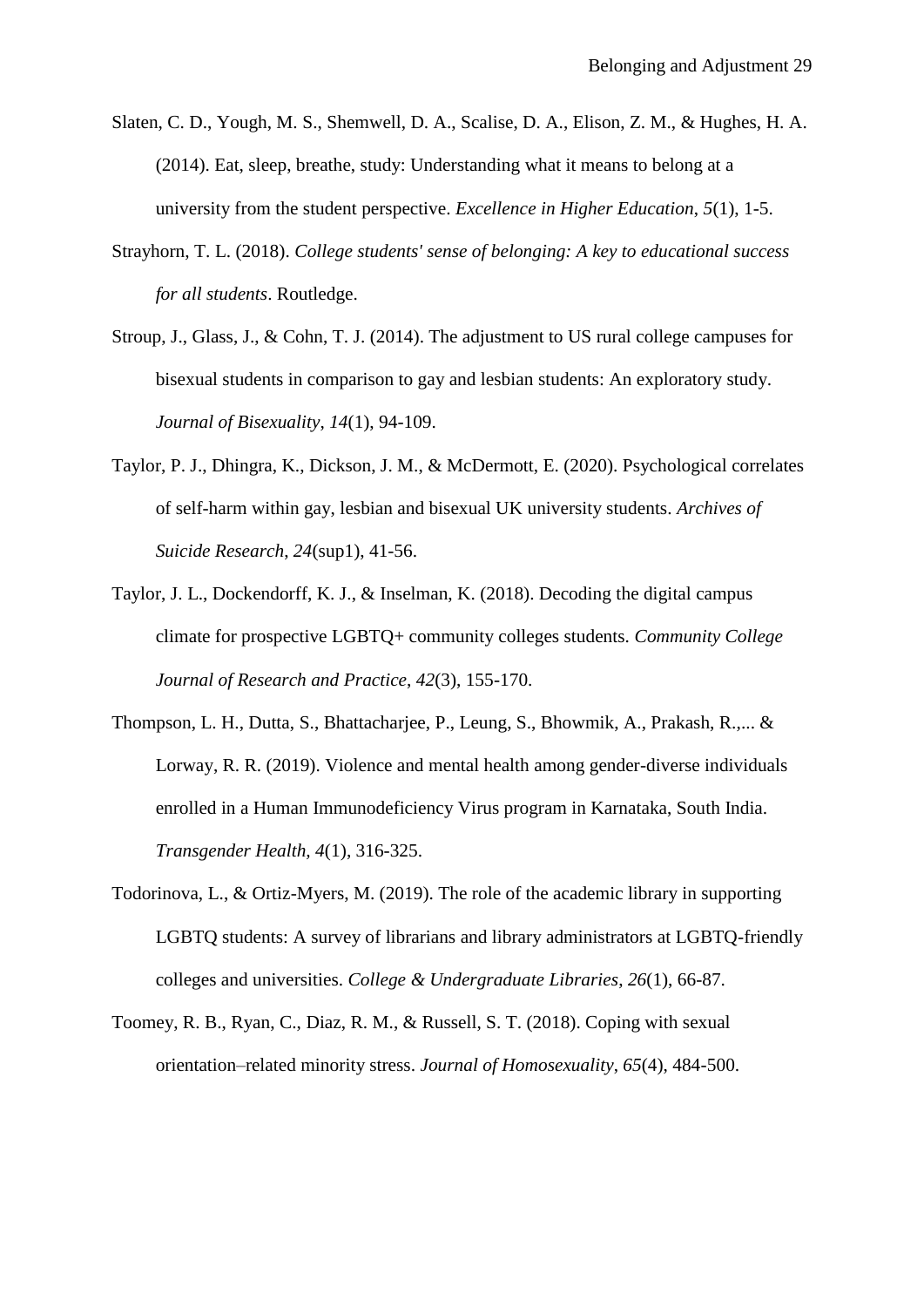- Slaten, C. D., Yough, M. S., Shemwell, D. A., Scalise, D. A., Elison, Z. M., & Hughes, H. A. (2014). Eat, sleep, breathe, study: Understanding what it means to belong at a university from the student perspective. *Excellence in Higher Education*, *5*(1), 1-5.
- Strayhorn, T. L. (2018). *College students' sense of belonging: A key to educational success for all students*. Routledge.
- Stroup, J., Glass, J., & Cohn, T. J. (2014). The adjustment to US rural college campuses for bisexual students in comparison to gay and lesbian students: An exploratory study. *Journal of Bisexuality*, *14*(1), 94-109.
- Taylor, P. J., Dhingra, K., Dickson, J. M., & McDermott, E. (2020). Psychological correlates of self-harm within gay, lesbian and bisexual UK university students. *Archives of Suicide Research*, *24*(sup1), 41-56.
- Taylor, J. L., Dockendorff, K. J., & Inselman, K. (2018). Decoding the digital campus climate for prospective LGBTQ+ community colleges students. *Community College Journal of Research and Practice*, *42*(3), 155-170.
- Thompson, L. H., Dutta, S., Bhattacharjee, P., Leung, S., Bhowmik, A., Prakash, R.,... & Lorway, R. R. (2019). Violence and mental health among gender-diverse individuals enrolled in a Human Immunodeficiency Virus program in Karnataka, South India. *Transgender Health, 4*(1), 316-325.
- Todorinova, L., & Ortiz-Myers, M. (2019). The role of the academic library in supporting LGBTQ students: A survey of librarians and library administrators at LGBTQ-friendly colleges and universities. *College & Undergraduate Libraries*, *26*(1), 66-87.
- Toomey, R. B., Ryan, C., Diaz, R. M., & Russell, S. T. (2018). Coping with sexual orientation–related minority stress. *Journal of Homosexuality*, *65*(4), 484-500.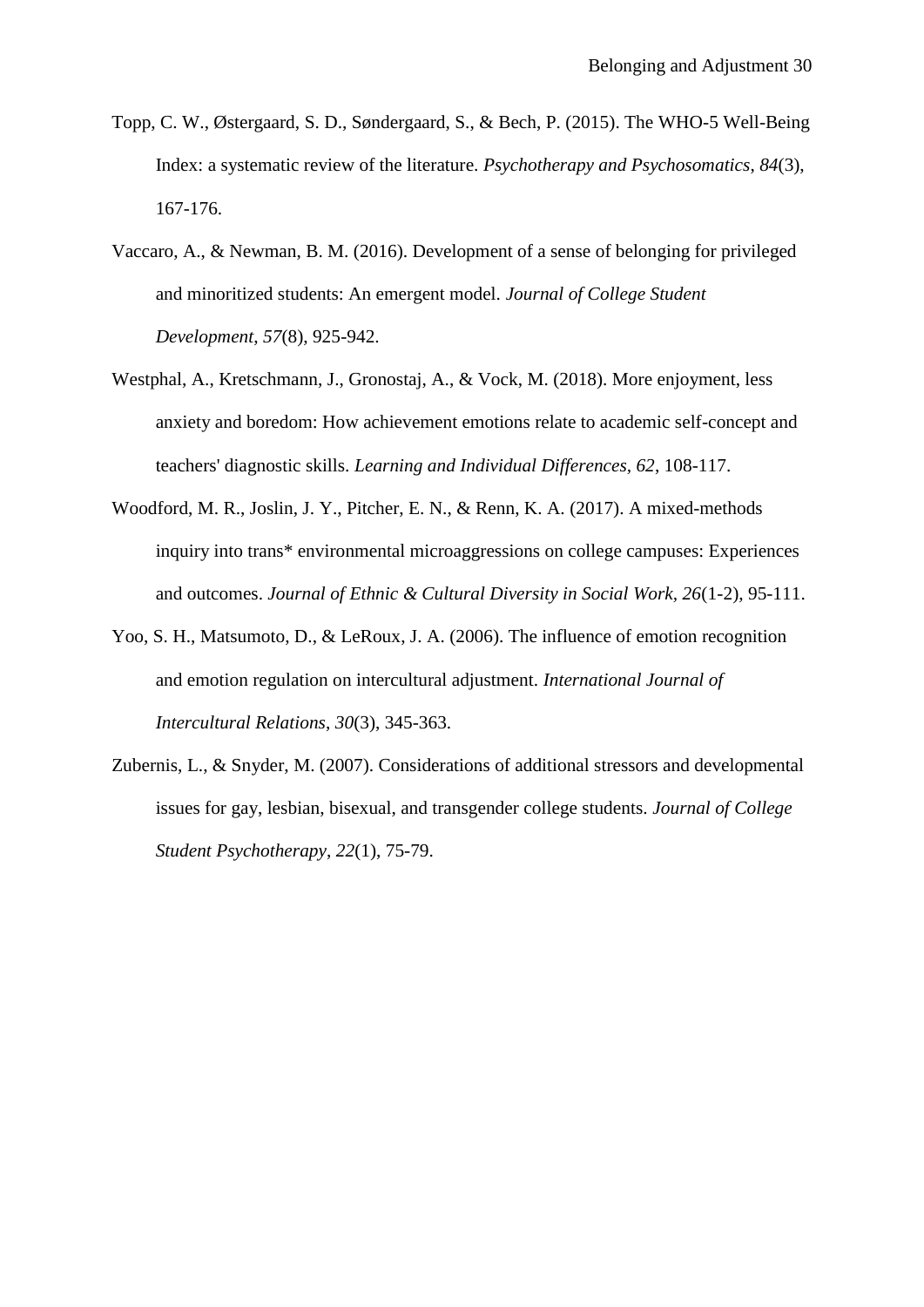- Topp, C. W., Østergaard, S. D., Søndergaard, S., & Bech, P. (2015). The WHO-5 Well-Being Index: a systematic review of the literature. *Psychotherapy and Psychosomatics*, *84*(3), 167-176.
- Vaccaro, A., & Newman, B. M. (2016). Development of a sense of belonging for privileged and minoritized students: An emergent model. *Journal of College Student Development*, *57*(8), 925-942.
- Westphal, A., Kretschmann, J., Gronostaj, A., & Vock, M. (2018). More enjoyment, less anxiety and boredom: How achievement emotions relate to academic self-concept and teachers' diagnostic skills. *Learning and Individual Differences, 62*, 108-117.
- Woodford, M. R., Joslin, J. Y., Pitcher, E. N., & Renn, K. A. (2017). A mixed-methods inquiry into trans\* environmental microaggressions on college campuses: Experiences and outcomes. *Journal of Ethnic & Cultural Diversity in Social Work, 26*(1-2), 95-111.
- Yoo, S. H., Matsumoto, D., & LeRoux, J. A. (2006). The influence of emotion recognition and emotion regulation on intercultural adjustment. *International Journal of Intercultural Relations*, *30*(3), 345-363.
- Zubernis, L., & Snyder, M. (2007). Considerations of additional stressors and developmental issues for gay, lesbian, bisexual, and transgender college students. *Journal of College Student Psychotherapy*, *22*(1), 75-79.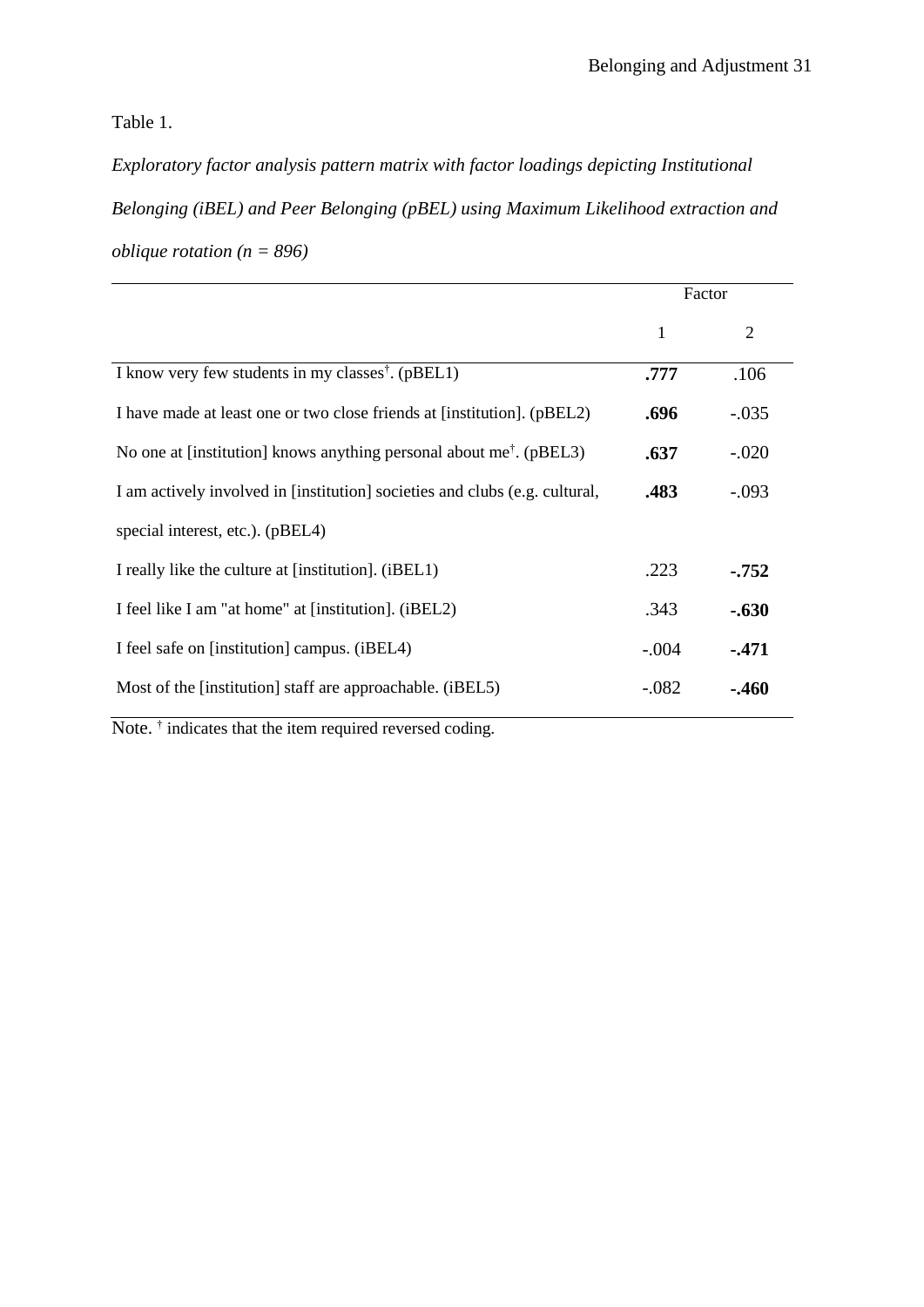Table 1.

*Exploratory factor analysis pattern matrix with factor loadings depicting Institutional Belonging (iBEL) and Peer Belonging (pBEL) using Maximum Likelihood extraction and oblique rotation (n = 896)*

|                                                                                 | Factor  |          |
|---------------------------------------------------------------------------------|---------|----------|
|                                                                                 | 1       | 2        |
| I know very few students in my classes <sup>†</sup> . (pBEL1)                   | .777    | .106     |
| I have made at least one or two close friends at [institution]. (pBEL2)         | .696    | $-.035$  |
| No one at [institution] knows anything personal about me <sup>†</sup> . (pBEL3) | .637    | $-.020$  |
| I am actively involved in [institution] societies and clubs (e.g. cultural,     | .483    | $-.093$  |
| special interest, etc.). (pBEL4)                                                |         |          |
| I really like the culture at [institution]. (iBEL1)                             |         | $-0.752$ |
| I feel like I am "at home" at [institution]. (iBEL2)                            | .343    | $-.630$  |
| I feel safe on [institution] campus. (iBEL4)                                    | $-.004$ | $-471$   |
| Most of the [institution] staff are approachable. (iBEL5)                       | $-.082$ | $-460$   |

Note.<sup>†</sup> indicates that the item required reversed coding.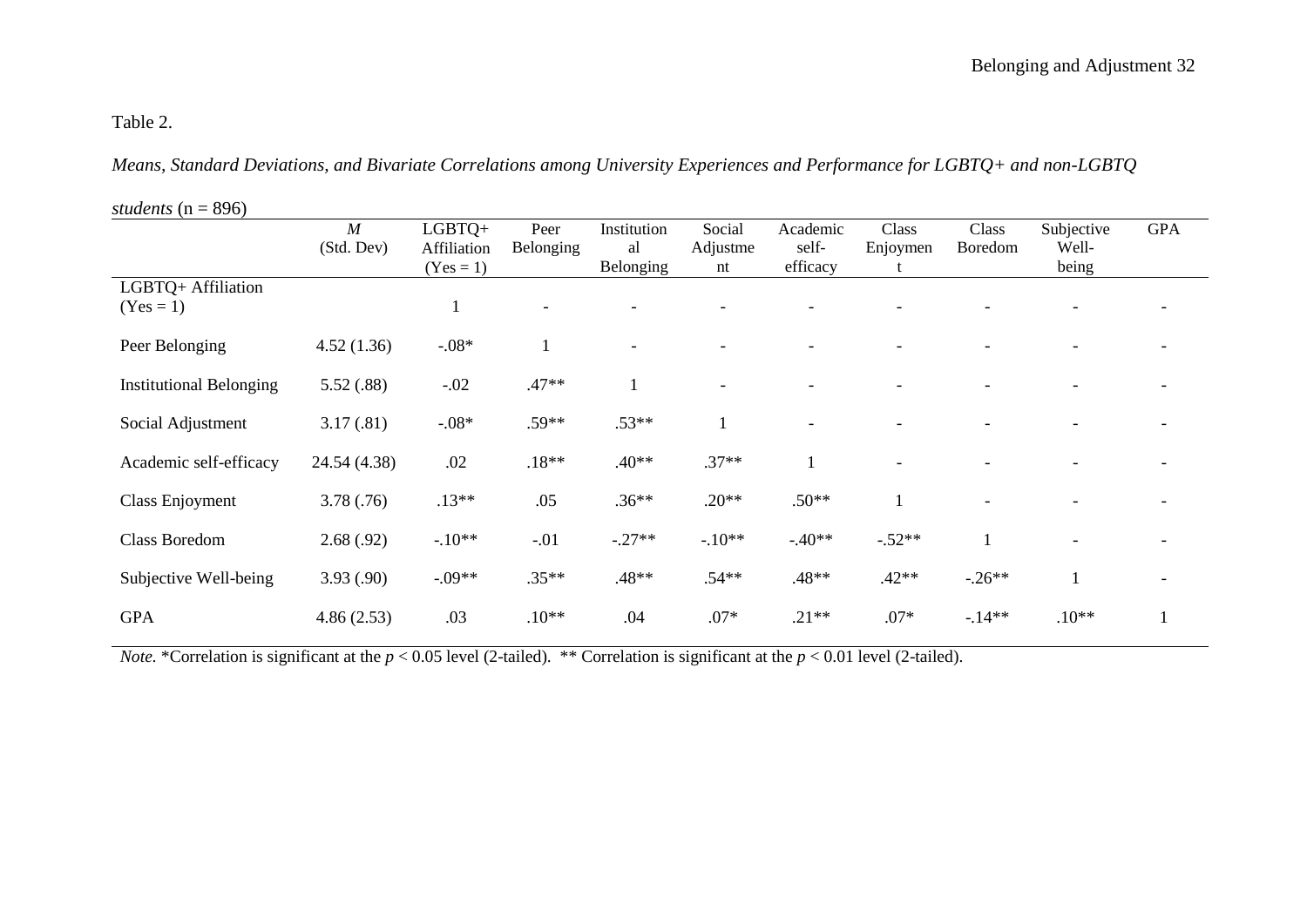# Table 2.

*Means, Standard Deviations, and Bivariate Correlations among University Experiences and Performance for LGBTQ+ and non-LGBTQ* 

*students* (n = 896)

|                                | $\boldsymbol{M}$ | LGBTQ+      | Peer      | Institution | Social   | Academic | Class    | Class        | Subjective   | <b>GPA</b> |
|--------------------------------|------------------|-------------|-----------|-------------|----------|----------|----------|--------------|--------------|------------|
|                                | (Std. Dev)       | Affiliation | Belonging | al          | Adjustme | self-    | Enjoymen | Boredom      | Well-        |            |
|                                |                  | $(Yes = 1)$ |           | Belonging   | nt       | efficacy |          |              | being        |            |
| LGBTQ+ Affiliation             |                  |             |           |             |          |          |          |              |              |            |
| $(Yes = 1)$                    |                  |             |           |             |          |          |          |              |              |            |
|                                |                  |             |           |             |          |          |          |              |              |            |
| Peer Belonging                 | 4.52(1.36)       | $-.08*$     |           |             |          |          |          |              |              |            |
|                                |                  |             |           |             |          |          |          |              |              |            |
| <b>Institutional Belonging</b> | 5.52(.88)        | $-.02$      | $.47**$   | $\mathbf I$ |          |          |          |              |              |            |
|                                |                  |             |           |             |          |          |          |              |              |            |
| Social Adjustment              | 3.17(.81)        | $-.08*$     | .59**     | $.53**$     |          |          |          |              |              |            |
| Academic self-efficacy         | 24.54 (4.38)     | .02         | $.18**$   | $.40**$     | $.37**$  |          |          |              |              |            |
|                                |                  |             |           |             |          |          |          |              |              |            |
| Class Enjoyment                | 3.78(.76)        | $.13**$     | .05       | $.36**$     | $.20**$  | $.50**$  |          |              |              |            |
|                                |                  |             |           |             |          |          |          |              |              |            |
| <b>Class Boredom</b>           | 2.68(.92)        | $-.10**$    | $-.01$    | $-.27**$    | $-.10**$ | $-.40**$ | $-.52**$ | $\mathbf{1}$ |              |            |
|                                |                  |             |           |             |          |          |          |              |              |            |
| Subjective Well-being          | 3.93(.90)        | $-.09**$    | $.35**$   | $.48**$     | $.54**$  | $.48**$  | $.42**$  | $-.26**$     | $\mathbf{1}$ |            |
|                                |                  |             |           |             |          |          |          |              |              |            |
| <b>GPA</b>                     | 4.86(2.53)       | .03         | $.10**$   | .04         | $.07*$   | $.21**$  | $.07*$   | $-14**$      | $.10**$      |            |

*Note.* \*Correlation is significant at the  $p < 0.05$  level (2-tailed). \*\* Correlation is significant at the  $p < 0.01$  level (2-tailed).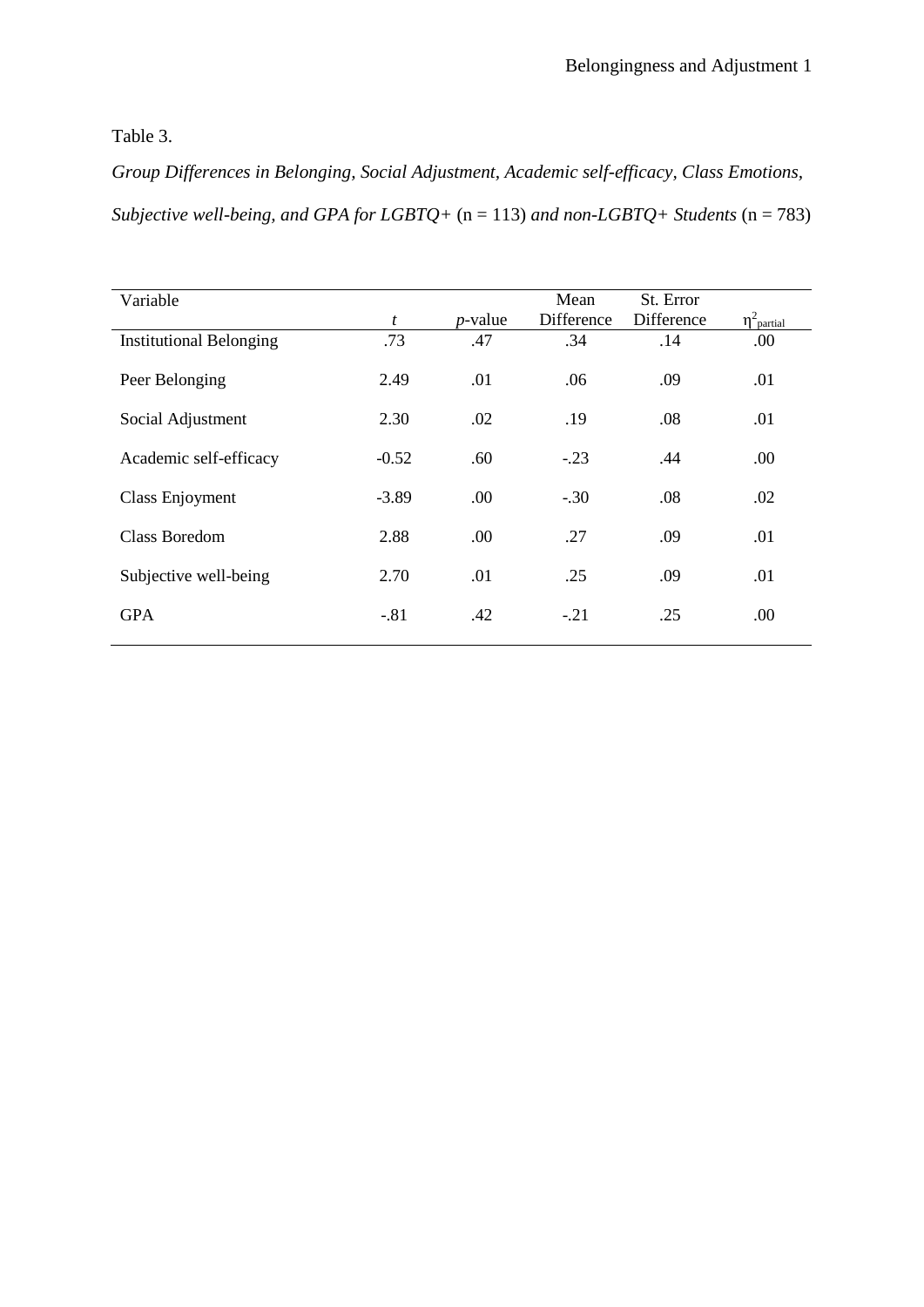Table 3.

*Group Differences in Belonging, Social Adjustment, Academic self-efficacy, Class Emotions, Subjective well-being, and GPA for LGBTQ+* (n = 113) *and non-LGBTQ+ Students* (n = 783)

| Variable                       |         |            | Mean       | St. Error  |                             |
|--------------------------------|---------|------------|------------|------------|-----------------------------|
|                                | t       | $p$ -value | Difference | Difference | $\eta^2$ <sub>partial</sub> |
| <b>Institutional Belonging</b> | .73     | .47        | .34        | .14        | .00.                        |
|                                |         |            |            |            |                             |
| Peer Belonging                 | 2.49    | .01        | .06        | .09        | .01                         |
|                                |         |            |            |            |                             |
| Social Adjustment              | 2.30    | .02        | .19        | .08        | .01                         |
|                                |         |            |            |            |                             |
|                                |         |            |            |            |                             |
| Academic self-efficacy         | $-0.52$ | .60        | $-.23$     | .44        | .00.                        |
|                                |         |            |            |            |                             |
| Class Enjoyment                | $-3.89$ | .00.       | $-.30$     | .08        | .02                         |
|                                |         |            |            |            |                             |
| <b>Class Boredom</b>           | 2.88    | .00.       | .27        | .09        | .01                         |
|                                |         |            |            |            |                             |
| Subjective well-being          | 2.70    | .01        | .25        | .09        | .01                         |
|                                |         |            |            |            |                             |
|                                |         |            |            |            |                             |
| <b>GPA</b>                     | $-.81$  | .42        | $-.21$     | .25        | .00                         |
|                                |         |            |            |            |                             |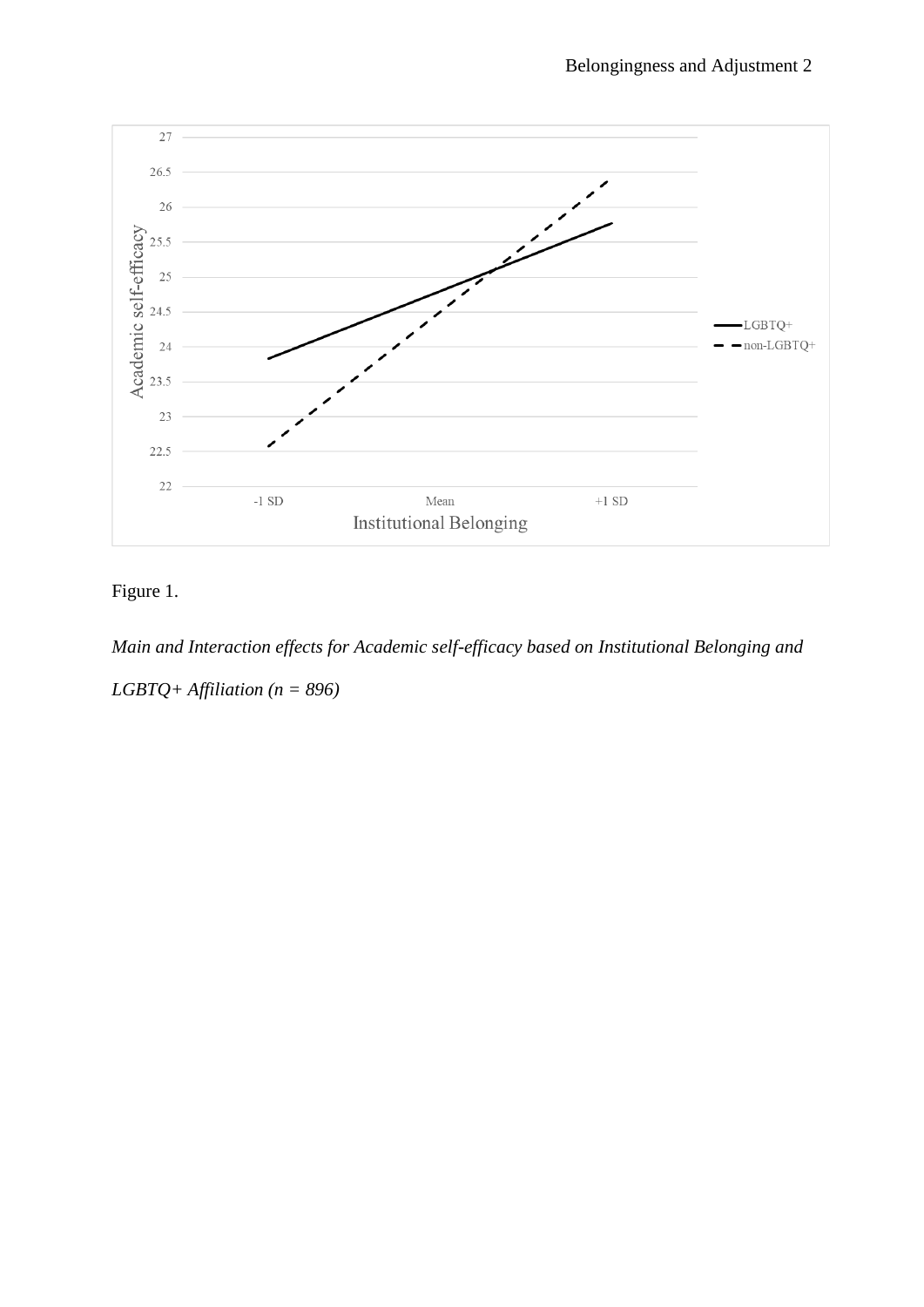

Figure 1.

*Main and Interaction effects for Academic self-efficacy based on Institutional Belonging and LGBTQ+ Affiliation (n = 896)*